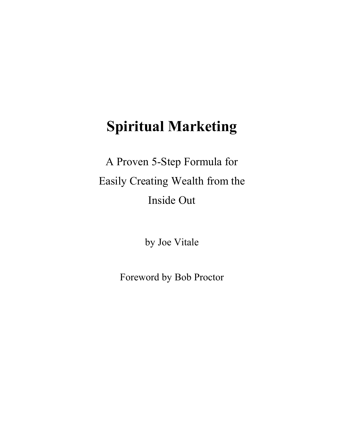A Proven 5-Step Formula for Easily Creating Wealth from the Inside Out

by Joe Vitale

Foreword by Bob Proctor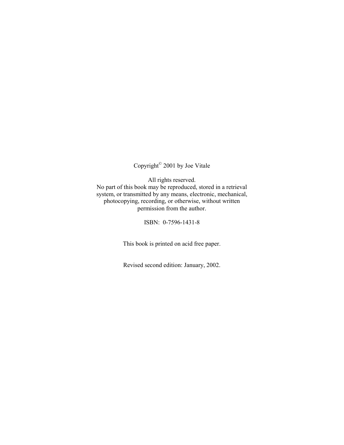## Copyright© 2001 by Joe Vitale

All rights reserved. No part of this book may be reproduced, stored in a retrieval system, or transmitted by any means, electronic, mechanical, photocopying, recording, or otherwise, without written permission from the author.

ISBN: 0-7596-1431-8

This book is printed on acid free paper.

Revised second edition: January, 2002.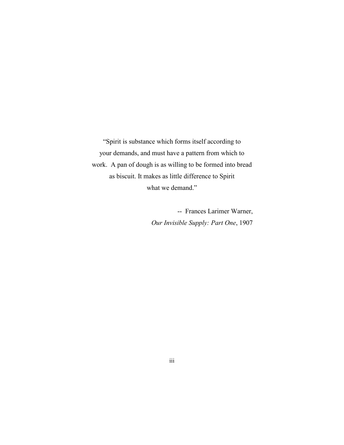"Spirit is substance which forms itself according to your demands, and must have a pattern from which to work. A pan of dough is as willing to be formed into bread as biscuit. It makes as little difference to Spirit what we demand."

> -- Frances Larimer Warner, *Our Invisible Supply: Part One*, 1907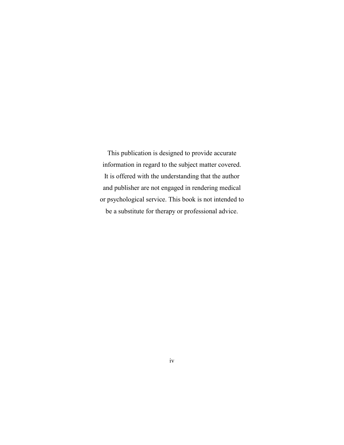This publication is designed to provide accurate information in regard to the subject matter covered. It is offered with the understanding that the author and publisher are not engaged in rendering medical or psychological service. This book is not intended to be a substitute for therapy or professional advice.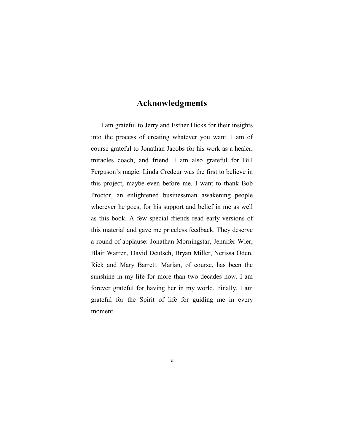### **Acknowledgments**

I am grateful to Jerry and Esther Hicks for their insights into the process of creating whatever you want. I am of course grateful to Jonathan Jacobs for his work as a healer, miracles coach, and friend. I am also grateful for Bill Ferguson's magic. Linda Credeur was the first to believe in this project, maybe even before me. I want to thank Bob Proctor, an enlightened businessman awakening people wherever he goes, for his support and belief in me as well as this book. A few special friends read early versions of this material and gave me priceless feedback. They deserve a round of applause: Jonathan Morningstar, Jennifer Wier, Blair Warren, David Deutsch, Bryan Miller, Nerissa Oden, Rick and Mary Barrett. Marian, of course, has been the sunshine in my life for more than two decades now. I am forever grateful for having her in my world. Finally, I am grateful for the Spirit of life for guiding me in every moment.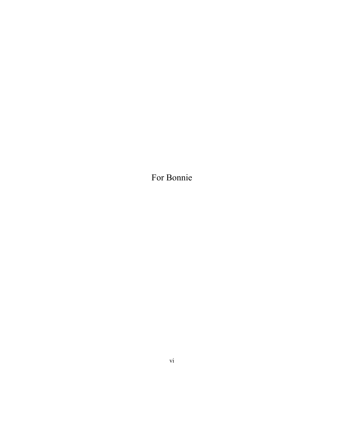For Bonnie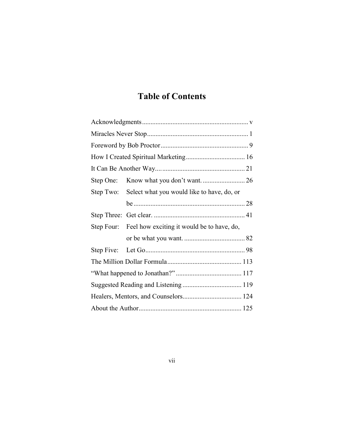# **Table of Contents**

| Step One: |                                                       |  |
|-----------|-------------------------------------------------------|--|
| Step Two: | Select what you would like to have, do, or            |  |
|           |                                                       |  |
|           |                                                       |  |
|           | Step Four: Feel how exciting it would be to have, do, |  |
|           |                                                       |  |
|           |                                                       |  |
|           |                                                       |  |
|           |                                                       |  |
|           |                                                       |  |
|           |                                                       |  |
|           |                                                       |  |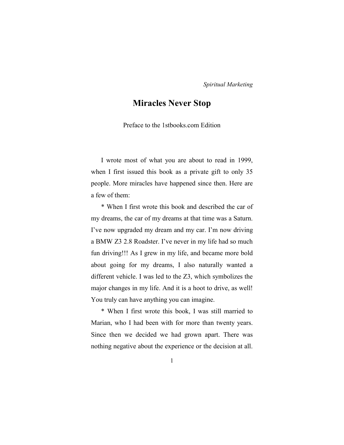### **Miracles Never Stop**

Preface to the 1stbooks.com Edition

I wrote most of what you are about to read in 1999, when I first issued this book as a private gift to only 35 people. More miracles have happened since then. Here are a few of them:

\* When I first wrote this book and described the car of my dreams, the car of my dreams at that time was a Saturn. I've now upgraded my dream and my car. I'm now driving a BMW Z3 2.8 Roadster. I've never in my life had so much fun driving!!! As I grew in my life, and became more bold about going for my dreams, I also naturally wanted a different vehicle. I was led to the Z3, which symbolizes the major changes in my life. And it is a hoot to drive, as well! You truly can have anything you can imagine.

\* When I first wrote this book, I was still married to Marian, who I had been with for more than twenty years. Since then we decided we had grown apart. There was nothing negative about the experience or the decision at all.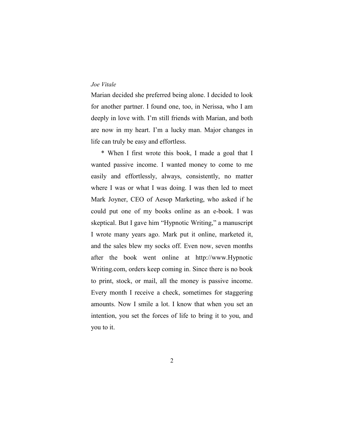Marian decided she preferred being alone. I decided to look for another partner. I found one, too, in Nerissa, who I am deeply in love with. I'm still friends with Marian, and both are now in my heart. I'm a lucky man. Major changes in life can truly be easy and effortless.

\* When I first wrote this book, I made a goal that I wanted passive income. I wanted money to come to me easily and effortlessly, always, consistently, no matter where I was or what I was doing. I was then led to meet Mark Joyner, CEO of Aesop Marketing, who asked if he could put one of my books online as an e-book. I was skeptical. But I gave him "Hypnotic Writing," a manuscript I wrote many years ago. Mark put it online, marketed it, and the sales blew my socks off. Even now, seven months after the book went online at http://www.Hypnotic Writing.com, orders keep coming in. Since there is no book to print, stock, or mail, all the money is passive income. Every month I receive a check, sometimes for staggering amounts. Now I smile a lot. I know that when you set an intention, you set the forces of life to bring it to you, and you to it.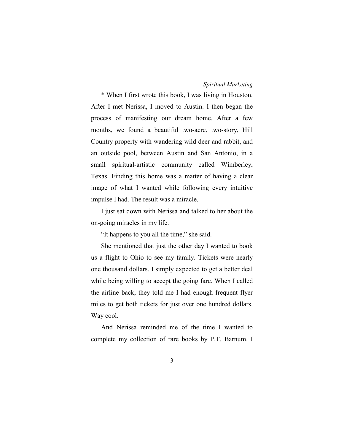\* When I first wrote this book, I was living in Houston. After I met Nerissa, I moved to Austin. I then began the process of manifesting our dream home. After a few months, we found a beautiful two-acre, two-story, Hill Country property with wandering wild deer and rabbit, and an outside pool, between Austin and San Antonio, in a small spiritual-artistic community called Wimberley, Texas. Finding this home was a matter of having a clear image of what I wanted while following every intuitive impulse I had. The result was a miracle.

I just sat down with Nerissa and talked to her about the on-going miracles in my life.

"It happens to you all the time," she said.

She mentioned that just the other day I wanted to book us a flight to Ohio to see my family. Tickets were nearly one thousand dollars. I simply expected to get a better deal while being willing to accept the going fare. When I called the airline back, they told me I had enough frequent flyer miles to get both tickets for just over one hundred dollars. Way cool.

And Nerissa reminded me of the time I wanted to complete my collection of rare books by P.T. Barnum. I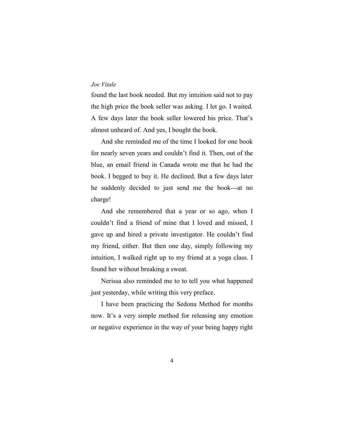found the last book needed. But my intuition said not to pay the high price the book seller was asking. I let go. I waited. A few days later the book seller lowered his price. That's almost unheard of. And yes, I bought the book.

And she reminded me of the time I looked for one book for nearly seven years and couldn't find it. Then, out of the blue, an email friend in Canada wrote me that he had the book. I begged to buy it. He declined. But a few days later he suddenly decided to just send me the book---at no charge!

And she remembered that a year or so ago, when I couldn't find a friend of mine that I loved and missed, I gave up and hired a private investigator. He couldn't find my friend, either. But then one day, simply following my intuition, I walked right up to my friend at a yoga class. I found her without breaking a sweat.

Nerissa also reminded me to to tell you what happened just yesterday, while writing this very preface.

I have been practicing the Sedona Method for months now. It's a very simple method for releasing any emotion or negative experience in the way of your being happy right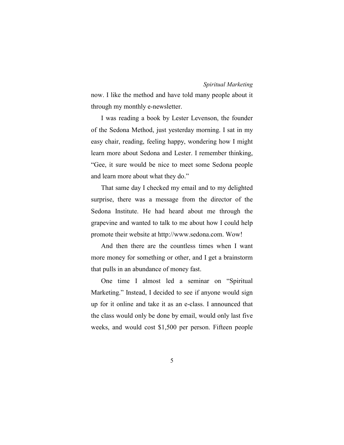now. I like the method and have told many people about it through my monthly e-newsletter.

I was reading a book by Lester Levenson, the founder of the Sedona Method, just yesterday morning. I sat in my easy chair, reading, feeling happy, wondering how I might learn more about Sedona and Lester. I remember thinking, "Gee, it sure would be nice to meet some Sedona people and learn more about what they do."

That same day I checked my email and to my delighted surprise, there was a message from the director of the Sedona Institute. He had heard about me through the grapevine and wanted to talk to me about how I could help promote their website at http://www.sedona.com. Wow!

And then there are the countless times when I want more money for something or other, and I get a brainstorm that pulls in an abundance of money fast.

One time I almost led a seminar on "Spiritual Marketing." Instead, I decided to see if anyone would sign up for it online and take it as an e-class. I announced that the class would only be done by email, would only last five weeks, and would cost \$1,500 per person. Fifteen people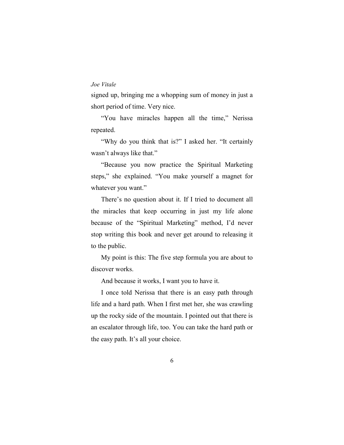signed up, bringing me a whopping sum of money in just a short period of time. Very nice.

"You have miracles happen all the time," Nerissa repeated.

"Why do you think that is?" I asked her. "It certainly wasn't always like that."

"Because you now practice the Spiritual Marketing steps," she explained. "You make yourself a magnet for whatever you want."

There's no question about it. If I tried to document all the miracles that keep occurring in just my life alone because of the "Spiritual Marketing" method, I'd never stop writing this book and never get around to releasing it to the public.

My point is this: The five step formula you are about to discover works.

And because it works, I want you to have it.

I once told Nerissa that there is an easy path through life and a hard path. When I first met her, she was crawling up the rocky side of the mountain. I pointed out that there is an escalator through life, too. You can take the hard path or the easy path. It's all your choice.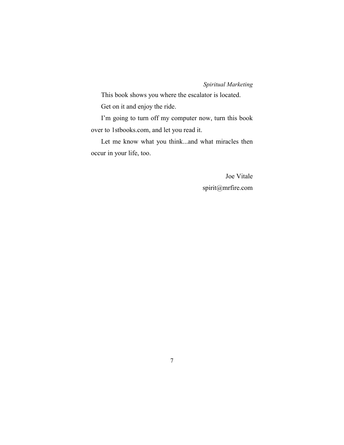This book shows you where the escalator is located. Get on it and enjoy the ride.

I'm going to turn off my computer now, turn this book over to 1stbooks.com, and let you read it.

Let me know what you think...and what miracles then occur in your life, too.

> Joe Vitale spirit@mrfire.com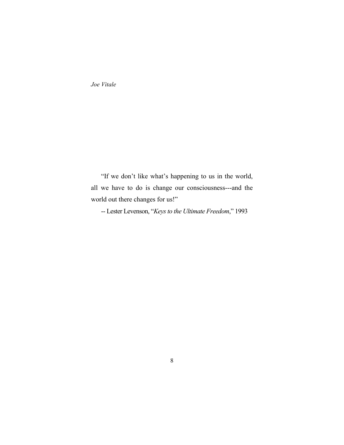"If we don't like what's happening to us in the world, all we have to do is change our consciousness---and the world out there changes for us!"

-- Lester Levenson, "*Keys to the Ultimate Freedom*," 1993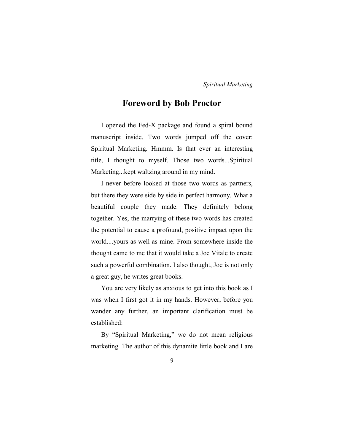### **Foreword by Bob Proctor**

I opened the Fed-X package and found a spiral bound manuscript inside. Two words jumped off the cover: Spiritual Marketing. Hmmm. Is that ever an interesting title, I thought to myself. Those two words...Spiritual Marketing...kept waltzing around in my mind.

I never before looked at those two words as partners, but there they were side by side in perfect harmony. What a beautiful couple they made. They definitely belong together. Yes, the marrying of these two words has created the potential to cause a profound, positive impact upon the world....yours as well as mine. From somewhere inside the thought came to me that it would take a Joe Vitale to create such a powerful combination. I also thought, Joe is not only a great guy, he writes great books.

You are very likely as anxious to get into this book as I was when I first got it in my hands. However, before you wander any further, an important clarification must be established:

By "Spiritual Marketing," we do not mean religious marketing. The author of this dynamite little book and I are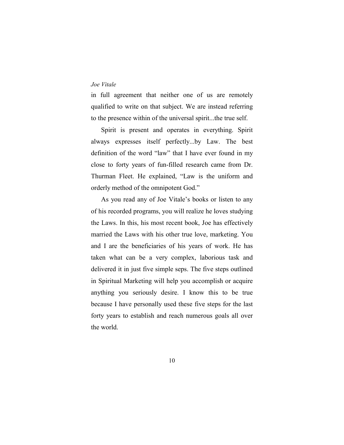in full agreement that neither one of us are remotely qualified to write on that subject. We are instead referring to the presence within of the universal spirit...the true self.

Spirit is present and operates in everything. Spirit always expresses itself perfectly...by Law. The best definition of the word "law" that I have ever found in my close to forty years of fun-filled research came from Dr. Thurman Fleet. He explained, "Law is the uniform and orderly method of the omnipotent God."

As you read any of Joe Vitale's books or listen to any of his recorded programs, you will realize he loves studying the Laws. In this, his most recent book, Joe has effectively married the Laws with his other true love, marketing. You and I are the beneficiaries of his years of work. He has taken what can be a very complex, laborious task and delivered it in just five simple seps. The five steps outlined in Spiritual Marketing will help you accomplish or acquire anything you seriously desire. I know this to be true because I have personally used these five steps for the last forty years to establish and reach numerous goals all over the world.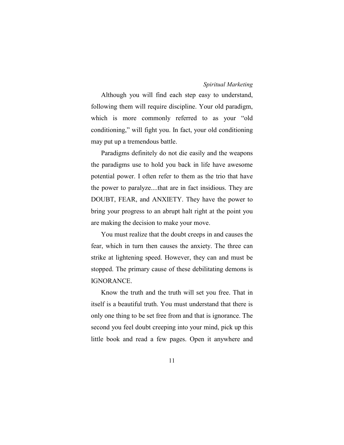Although you will find each step easy to understand, following them will require discipline. Your old paradigm, which is more commonly referred to as your "old conditioning," will fight you. In fact, your old conditioning may put up a tremendous battle.

Paradigms definitely do not die easily and the weapons the paradigms use to hold you back in life have awesome potential power. I often refer to them as the trio that have the power to paralyze....that are in fact insidious. They are DOUBT, FEAR, and ANXIETY. They have the power to bring your progress to an abrupt halt right at the point you are making the decision to make your move.

You must realize that the doubt creeps in and causes the fear, which in turn then causes the anxiety. The three can strike at lightening speed. However, they can and must be stopped. The primary cause of these debilitating demons is IGNORANCE.

Know the truth and the truth will set you free. That in itself is a beautiful truth. You must understand that there is only one thing to be set free from and that is ignorance. The second you feel doubt creeping into your mind, pick up this little book and read a few pages. Open it anywhere and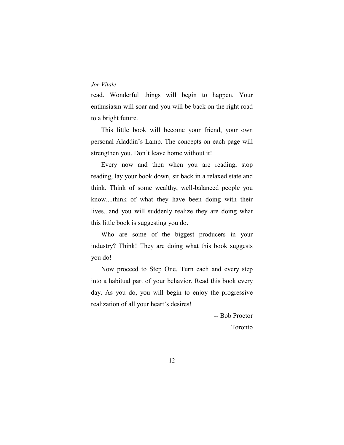read. Wonderful things will begin to happen. Your enthusiasm will soar and you will be back on the right road to a bright future.

This little book will become your friend, your own personal Aladdin's Lamp. The concepts on each page will strengthen you. Don't leave home without it!

Every now and then when you are reading, stop reading, lay your book down, sit back in a relaxed state and think. Think of some wealthy, well-balanced people you know....think of what they have been doing with their lives...and you will suddenly realize they are doing what this little book is suggesting you do.

Who are some of the biggest producers in your industry? Think! They are doing what this book suggests you do!

Now proceed to Step One. Turn each and every step into a habitual part of your behavior. Read this book every day. As you do, you will begin to enjoy the progressive realization of all your heart's desires!

> -- Bob Proctor Toronto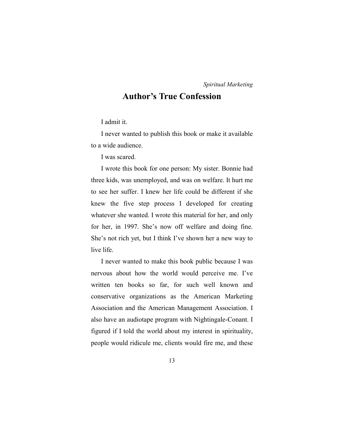### **Author's True Confession**

I admit it.

I never wanted to publish this book or make it available to a wide audience.

I was scared.

I wrote this book for one person: My sister. Bonnie had three kids, was unemployed, and was on welfare. It hurt me to see her suffer. I knew her life could be different if she knew the five step process I developed for creating whatever she wanted. I wrote this material for her, and only for her, in 1997. She's now off welfare and doing fine. She's not rich yet, but I think I've shown her a new way to live life.

I never wanted to make this book public because I was nervous about how the world would perceive me. I've written ten books so far, for such well known and conservative organizations as the American Marketing Association and the American Management Association. I also have an audiotape program with Nightingale-Conant. I figured if I told the world about my interest in spirituality, people would ridicule me, clients would fire me, and these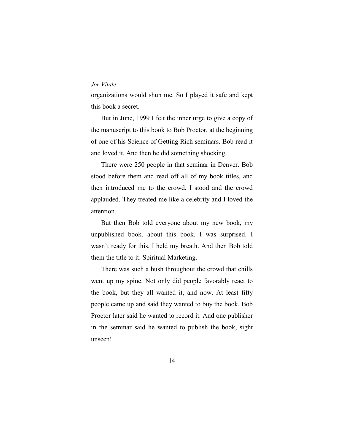organizations would shun me. So I played it safe and kept this book a secret.

But in June, 1999 I felt the inner urge to give a copy of the manuscript to this book to Bob Proctor, at the beginning of one of his Science of Getting Rich seminars. Bob read it and loved it. And then he did something shocking.

There were 250 people in that seminar in Denver. Bob stood before them and read off all of my book titles, and then introduced me to the crowd. I stood and the crowd applauded. They treated me like a celebrity and I loved the attention.

But then Bob told everyone about my new book, my unpublished book, about this book. I was surprised. I wasn't ready for this. I held my breath. And then Bob told them the title to it: Spiritual Marketing.

There was such a hush throughout the crowd that chills went up my spine. Not only did people favorably react to the book, but they all wanted it, and now. At least fifty people came up and said they wanted to buy the book. Bob Proctor later said he wanted to record it. And one publisher in the seminar said he wanted to publish the book, sight unseen!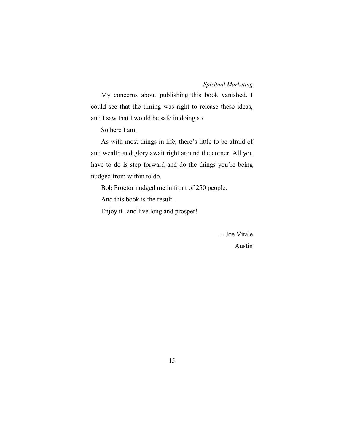My concerns about publishing this book vanished. I could see that the timing was right to release these ideas, and I saw that I would be safe in doing so.

So here I am.

As with most things in life, there's little to be afraid of and wealth and glory await right around the corner. All you have to do is step forward and do the things you're being nudged from within to do.

Bob Proctor nudged me in front of 250 people.

And this book is the result.

Enjoy it--and live long and prosper!

-- Joe Vitale Austin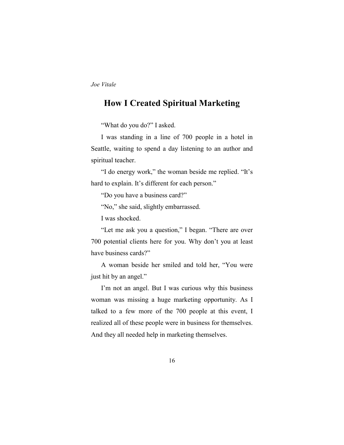### **How I Created Spiritual Marketing**

"What do you do?" I asked.

I was standing in a line of 700 people in a hotel in Seattle, waiting to spend a day listening to an author and spiritual teacher.

"I do energy work," the woman beside me replied. "It's hard to explain. It's different for each person."

"Do you have a business card?"

"No," she said, slightly embarrassed.

I was shocked.

"Let me ask you a question," I began. "There are over 700 potential clients here for you. Why don't you at least have business cards?"

A woman beside her smiled and told her, "You were just hit by an angel."

I'm not an angel. But I was curious why this business woman was missing a huge marketing opportunity. As I talked to a few more of the 700 people at this event, I realized all of these people were in business for themselves. And they all needed help in marketing themselves.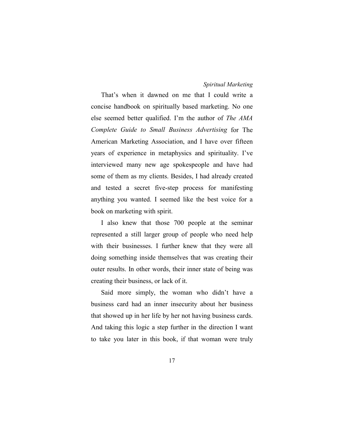That's when it dawned on me that I could write a concise handbook on spiritually based marketing. No one else seemed better qualified. I'm the author of *The AMA Complete Guide to Small Business Advertising* for The American Marketing Association, and I have over fifteen years of experience in metaphysics and spirituality. I've interviewed many new age spokespeople and have had some of them as my clients. Besides, I had already created and tested a secret five-step process for manifesting anything you wanted. I seemed like the best voice for a book on marketing with spirit.

I also knew that those 700 people at the seminar represented a still larger group of people who need help with their businesses. I further knew that they were all doing something inside themselves that was creating their outer results. In other words, their inner state of being was creating their business, or lack of it.

Said more simply, the woman who didn't have a business card had an inner insecurity about her business that showed up in her life by her not having business cards. And taking this logic a step further in the direction I want to take you later in this book, if that woman were truly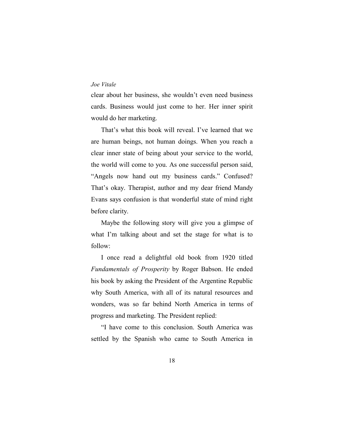clear about her business, she wouldn't even need business cards. Business would just come to her. Her inner spirit would do her marketing.

That's what this book will reveal. I've learned that we are human beings, not human doings. When you reach a clear inner state of being about your service to the world, the world will come to you. As one successful person said, "Angels now hand out my business cards." Confused? That's okay. Therapist, author and my dear friend Mandy Evans says confusion is that wonderful state of mind right before clarity.

Maybe the following story will give you a glimpse of what I'm talking about and set the stage for what is to follow:

I once read a delightful old book from 1920 titled *Fundamentals of Prosperity* by Roger Babson. He ended his book by asking the President of the Argentine Republic why South America, with all of its natural resources and wonders, was so far behind North America in terms of progress and marketing. The President replied:

"I have come to this conclusion. South America was settled by the Spanish who came to South America in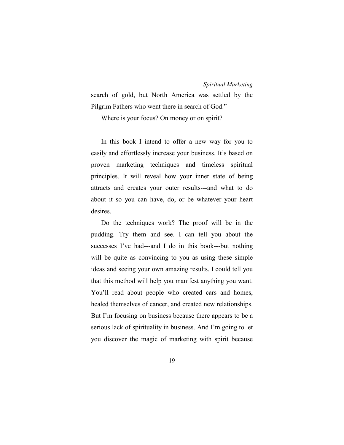search of gold, but North America was settled by the Pilgrim Fathers who went there in search of God."

Where is your focus? On money or on spirit?

In this book I intend to offer a new way for you to easily and effortlessly increase your business. It's based on proven marketing techniques and timeless spiritual principles. It will reveal how your inner state of being attracts and creates your outer results---and what to do about it so you can have, do, or be whatever your heart desires.

Do the techniques work? The proof will be in the pudding. Try them and see. I can tell you about the successes I've had---and I do in this book---but nothing will be quite as convincing to you as using these simple ideas and seeing your own amazing results. I could tell you that this method will help you manifest anything you want. You'll read about people who created cars and homes, healed themselves of cancer, and created new relationships. But I'm focusing on business because there appears to be a serious lack of spirituality in business. And I'm going to let you discover the magic of marketing with spirit because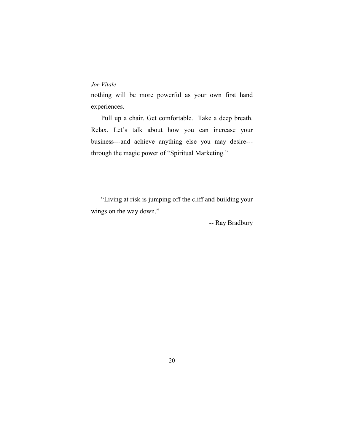nothing will be more powerful as your own first hand experiences.

Pull up a chair. Get comfortable. Take a deep breath. Relax. Let's talk about how you can increase your business---and achieve anything else you may desire-- through the magic power of "Spiritual Marketing."

"Living at risk is jumping off the cliff and building your wings on the way down."

-- Ray Bradbury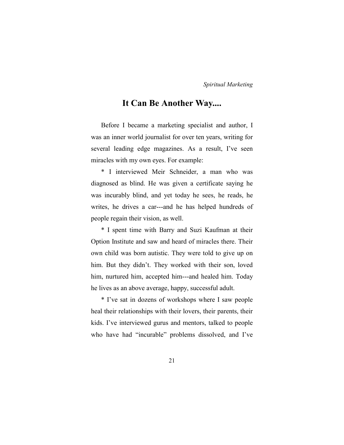### **It Can Be Another Way....**

Before I became a marketing specialist and author, I was an inner world journalist for over ten years, writing for several leading edge magazines. As a result, I've seen miracles with my own eyes. For example:

\* I interviewed Meir Schneider, a man who was diagnosed as blind. He was given a certificate saying he was incurably blind, and yet today he sees, he reads, he writes, he drives a car---and he has helped hundreds of people regain their vision, as well.

\* I spent time with Barry and Suzi Kaufman at their Option Institute and saw and heard of miracles there. Their own child was born autistic. They were told to give up on him. But they didn't. They worked with their son, loved him, nurtured him, accepted him---and healed him. Today he lives as an above average, happy, successful adult.

\* I've sat in dozens of workshops where I saw people heal their relationships with their lovers, their parents, their kids. I've interviewed gurus and mentors, talked to people who have had "incurable" problems dissolved, and I've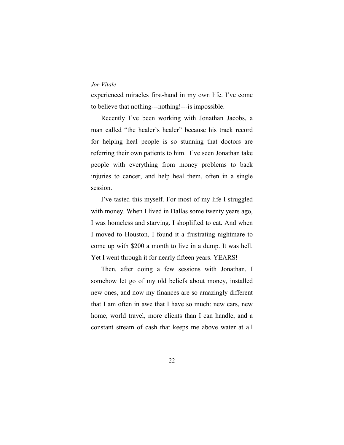experienced miracles first-hand in my own life. I've come to believe that nothing---nothing!---is impossible.

Recently I've been working with Jonathan Jacobs, a man called "the healer's healer" because his track record for helping heal people is so stunning that doctors are referring their own patients to him. I've seen Jonathan take people with everything from money problems to back injuries to cancer, and help heal them, often in a single session.

I've tasted this myself. For most of my life I struggled with money. When I lived in Dallas some twenty years ago, I was homeless and starving. I shoplifted to eat. And when I moved to Houston, I found it a frustrating nightmare to come up with \$200 a month to live in a dump. It was hell. Yet I went through it for nearly fifteen years. YEARS!

Then, after doing a few sessions with Jonathan, I somehow let go of my old beliefs about money, installed new ones, and now my finances are so amazingly different that I am often in awe that I have so much: new cars, new home, world travel, more clients than I can handle, and a constant stream of cash that keeps me above water at all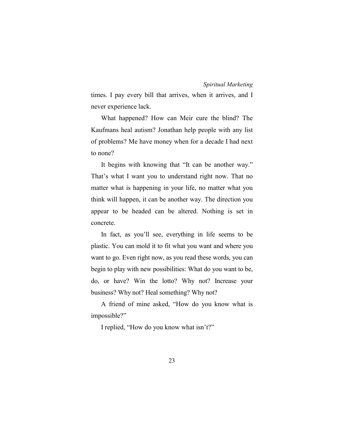times. I pay every bill that arrives, when it arrives, and I never experience lack.

What happened? How can Meir cure the blind? The Kaufmans heal autism? Jonathan help people with any list of problems? Me have money when for a decade I had next to none?

It begins with knowing that "It can be another way." That's what I want you to understand right now. That no matter what is happening in your life, no matter what you think will happen, it can be another way. The direction you appear to be headed can be altered. Nothing is set in concrete.

In fact, as you'll see, everything in life seems to be plastic. You can mold it to fit what you want and where you want to go. Even right now, as you read these words, you can begin to play with new possibilities: What do you want to be, do, or have? Win the lotto? Why not? Increase your business? Why not? Heal something? Why not?

A friend of mine asked, "How do you know what is impossible?"

I replied, "How do you know what isn't?"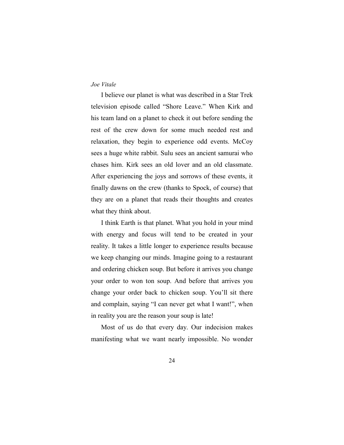I believe our planet is what was described in a Star Trek television episode called "Shore Leave." When Kirk and his team land on a planet to check it out before sending the rest of the crew down for some much needed rest and relaxation, they begin to experience odd events. McCoy sees a huge white rabbit. Sulu sees an ancient samurai who chases him. Kirk sees an old lover and an old classmate. After experiencing the joys and sorrows of these events, it finally dawns on the crew (thanks to Spock, of course) that they are on a planet that reads their thoughts and creates what they think about.

I think Earth is that planet. What you hold in your mind with energy and focus will tend to be created in your reality. It takes a little longer to experience results because we keep changing our minds. Imagine going to a restaurant and ordering chicken soup. But before it arrives you change your order to won ton soup. And before that arrives you change your order back to chicken soup. You'll sit there and complain, saying "I can never get what I want!", when in reality you are the reason your soup is late!

Most of us do that every day. Our indecision makes manifesting what we want nearly impossible. No wonder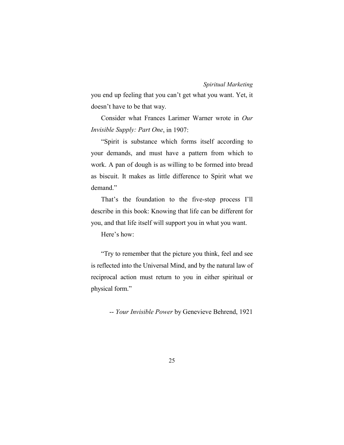you end up feeling that you can't get what you want. Yet, it doesn't have to be that way.

Consider what Frances Larimer Warner wrote in *Our Invisible Supply: Part One*, in 1907:

"Spirit is substance which forms itself according to your demands, and must have a pattern from which to work. A pan of dough is as willing to be formed into bread as biscuit. It makes as little difference to Spirit what we demand."

That's the foundation to the five-step process I'll describe in this book: Knowing that life can be different for you, and that life itself will support you in what you want.

Here's how:

"Try to remember that the picture you think, feel and see is reflected into the Universal Mind, and by the natural law of reciprocal action must return to you in either spiritual or physical form."

-- *Your Invisible Power* by Genevieve Behrend, 1921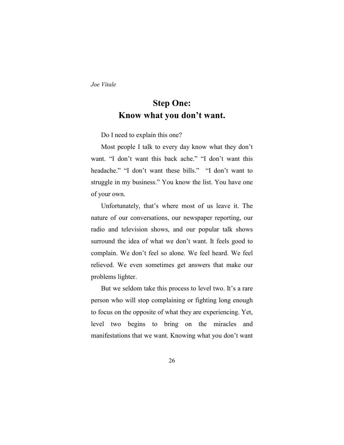# **Step One: Know what you don't want.**

Do I need to explain this one?

Most people I talk to every day know what they don't want. "I don't want this back ache." "I don't want this headache." "I don't want these bills." "I don't want to struggle in my business." You know the list. You have one of your own.

Unfortunately, that's where most of us leave it. The nature of our conversations, our newspaper reporting, our radio and television shows, and our popular talk shows surround the idea of what we don't want. It feels good to complain. We don't feel so alone. We feel heard. We feel relieved. We even sometimes get answers that make our problems lighter.

But we seldom take this process to level two. It's a rare person who will stop complaining or fighting long enough to focus on the opposite of what they are experiencing. Yet, level two begins to bring on the miracles and manifestations that we want. Knowing what you don't want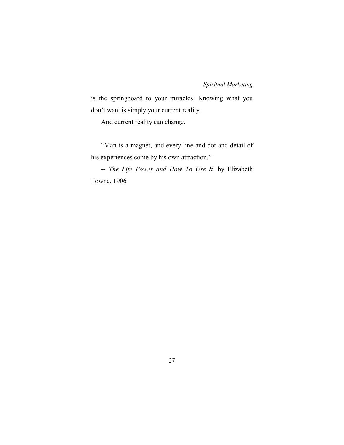is the springboard to your miracles. Knowing what you don't want is simply your current reality.

And current reality can change.

"Man is a magnet, and every line and dot and detail of his experiences come by his own attraction."

-- *The Life Power and How To Use It*, by Elizabeth Towne, 1906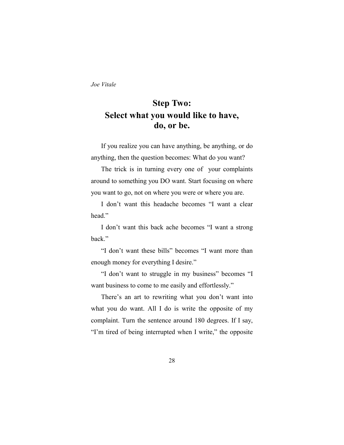# **Step Two: Select what you would like to have, do, or be.**

If you realize you can have anything, be anything, or do anything, then the question becomes: What do you want?

The trick is in turning every one of your complaints around to something you DO want. Start focusing on where you want to go, not on where you were or where you are.

I don't want this headache becomes "I want a clear head"

I don't want this back ache becomes "I want a strong back."

"I don't want these bills" becomes "I want more than enough money for everything I desire."

"I don't want to struggle in my business" becomes "I want business to come to me easily and effortlessly."

There's an art to rewriting what you don't want into what you do want. All I do is write the opposite of my complaint. Turn the sentence around 180 degrees. If I say, "I'm tired of being interrupted when I write," the opposite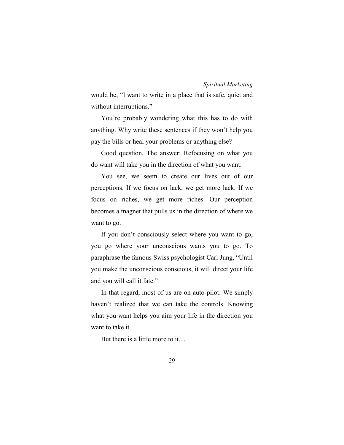would be, "I want to write in a place that is safe, quiet and without interruptions."

You're probably wondering what this has to do with anything. Why write these sentences if they won't help you pay the bills or heal your problems or anything else?

Good question. The answer: Refocusing on what you do want will take you in the direction of what you want.

You see, we seem to create our lives out of our perceptions. If we focus on lack, we get more lack. If we focus on riches, we get more riches. Our perception becomes a magnet that pulls us in the direction of where we want to go.

If you don't consciously select where you want to go, you go where your unconscious wants you to go. To paraphrase the famous Swiss psychologist Carl Jung, "Until you make the unconscious conscious, it will direct your life and you will call it fate."

In that regard, most of us are on auto-pilot. We simply haven't realized that we can take the controls. Knowing what you want helps you aim your life in the direction you want to take it.

But there is a little more to it....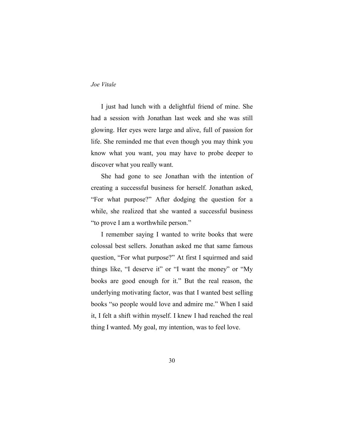I just had lunch with a delightful friend of mine. She had a session with Jonathan last week and she was still glowing. Her eyes were large and alive, full of passion for life. She reminded me that even though you may think you know what you want, you may have to probe deeper to discover what you really want.

She had gone to see Jonathan with the intention of creating a successful business for herself. Jonathan asked, "For what purpose?" After dodging the question for a while, she realized that she wanted a successful business "to prove I am a worthwhile person."

I remember saying I wanted to write books that were colossal best sellers. Jonathan asked me that same famous question, "For what purpose?" At first I squirmed and said things like, "I deserve it" or "I want the money" or "My books are good enough for it." But the real reason, the underlying motivating factor, was that I wanted best selling books "so people would love and admire me." When I said it, I felt a shift within myself. I knew I had reached the real thing I wanted. My goal, my intention, was to feel love.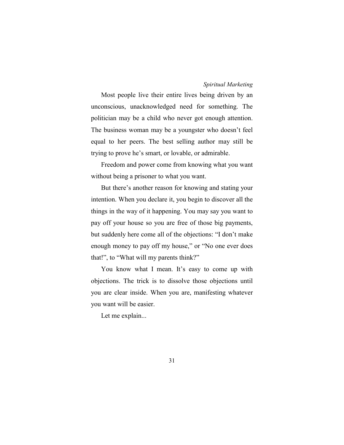Most people live their entire lives being driven by an unconscious, unacknowledged need for something. The politician may be a child who never got enough attention. The business woman may be a youngster who doesn't feel equal to her peers. The best selling author may still be trying to prove he's smart, or lovable, or admirable.

Freedom and power come from knowing what you want without being a prisoner to what you want.

But there's another reason for knowing and stating your intention. When you declare it, you begin to discover all the things in the way of it happening. You may say you want to pay off your house so you are free of those big payments, but suddenly here come all of the objections: "I don't make enough money to pay off my house," or "No one ever does that!", to "What will my parents think?"

You know what I mean. It's easy to come up with objections. The trick is to dissolve those objections until you are clear inside. When you are, manifesting whatever you want will be easier.

Let me explain...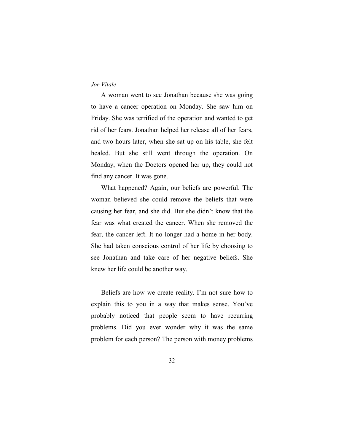A woman went to see Jonathan because she was going to have a cancer operation on Monday. She saw him on Friday. She was terrified of the operation and wanted to get rid of her fears. Jonathan helped her release all of her fears, and two hours later, when she sat up on his table, she felt healed. But she still went through the operation. On Monday, when the Doctors opened her up, they could not find any cancer. It was gone.

What happened? Again, our beliefs are powerful. The woman believed she could remove the beliefs that were causing her fear, and she did. But she didn't know that the fear was what created the cancer. When she removed the fear, the cancer left. It no longer had a home in her body. She had taken conscious control of her life by choosing to see Jonathan and take care of her negative beliefs. She knew her life could be another way.

Beliefs are how we create reality. I'm not sure how to explain this to you in a way that makes sense. You've probably noticed that people seem to have recurring problems. Did you ever wonder why it was the same problem for each person? The person with money problems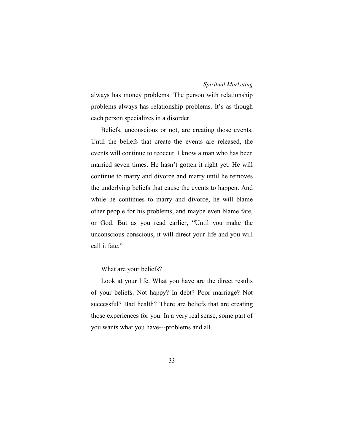always has money problems. The person with relationship problems always has relationship problems. It's as though each person specializes in a disorder.

Beliefs, unconscious or not, are creating those events. Until the beliefs that create the events are released, the events will continue to reoccur. I know a man who has been married seven times. He hasn't gotten it right yet. He will continue to marry and divorce and marry until he removes the underlying beliefs that cause the events to happen. And while he continues to marry and divorce, he will blame other people for his problems, and maybe even blame fate, or God. But as you read earlier, "Until you make the unconscious conscious, it will direct your life and you will call it fate."

## What are your beliefs?

Look at your life. What you have are the direct results of your beliefs. Not happy? In debt? Poor marriage? Not successful? Bad health? There are beliefs that are creating those experiences for you. In a very real sense, some part of you wants what you have---problems and all.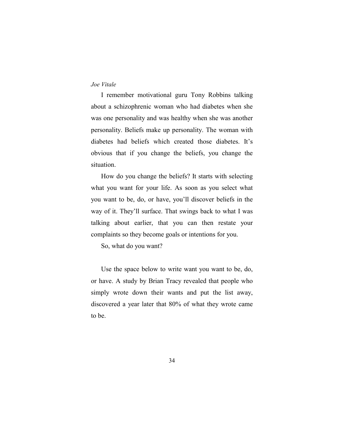I remember motivational guru Tony Robbins talking about a schizophrenic woman who had diabetes when she was one personality and was healthy when she was another personality. Beliefs make up personality. The woman with diabetes had beliefs which created those diabetes. It's obvious that if you change the beliefs, you change the situation.

How do you change the beliefs? It starts with selecting what you want for your life. As soon as you select what you want to be, do, or have, you'll discover beliefs in the way of it. They'll surface. That swings back to what I was talking about earlier, that you can then restate your complaints so they become goals or intentions for you.

So, what do you want?

Use the space below to write want you want to be, do, or have. A study by Brian Tracy revealed that people who simply wrote down their wants and put the list away, discovered a year later that 80% of what they wrote came to be.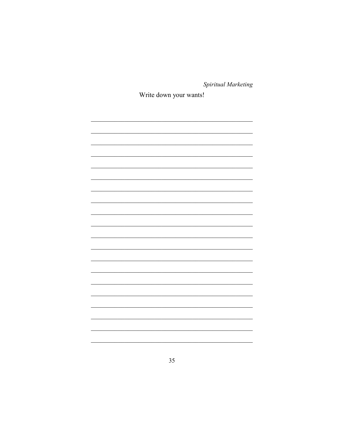Write down your wants!

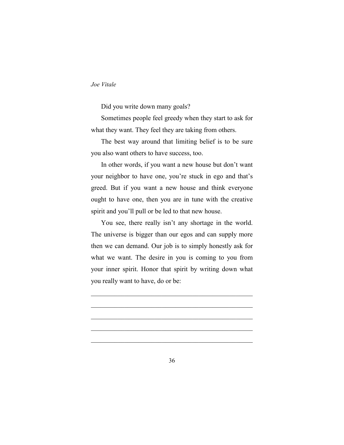Did you write down many goals?

Sometimes people feel greedy when they start to ask for what they want. They feel they are taking from others.

The best way around that limiting belief is to be sure you also want others to have success, too.

In other words, if you want a new house but don't want your neighbor to have one, you're stuck in ego and that's greed. But if you want a new house and think everyone ought to have one, then you are in tune with the creative spirit and you'll pull or be led to that new house.

You see, there really isn't any shortage in the world. The universe is bigger than our egos and can supply more then we can demand. Our job is to simply honestly ask for what we want. The desire in you is coming to you from your inner spirit. Honor that spirit by writing down what you really want to have, do or be:

 $\mathcal{L}_\text{max}$  and the contract of the contract of the contract of the contract of the contract of the contract of the contract of the contract of the contract of the contract of the contract of the contract of the contrac

 $\mathcal{L}_\text{max}$  , and the contract of the contract of the contract of the contract of the contract of the contract of the contract of the contract of the contract of the contract of the contract of the contract of the contr

 $\mathcal{L}_\text{max}$  , and the contract of the contract of the contract of the contract of the contract of the contract of the contract of the contract of the contract of the contract of the contract of the contract of the contr

 $\mathcal{L}_\text{max}$  , and the contract of the contract of the contract of the contract of the contract of the contract of the contract of the contract of the contract of the contract of the contract of the contract of the contr

 $\mathcal{L}_\text{max}$  , and the contract of the contract of the contract of the contract of the contract of the contract of the contract of the contract of the contract of the contract of the contract of the contract of the contr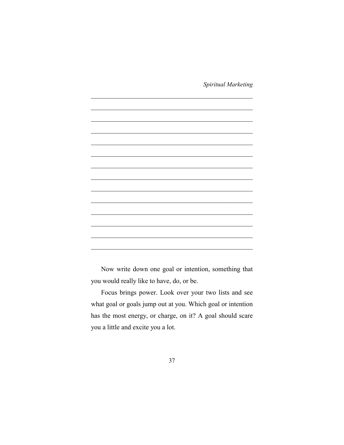

Now write down one goal or intention, something that you would really like to have, do, or be.

Focus brings power. Look over your two lists and see what goal or goals jump out at you. Which goal or intention has the most energy, or charge, on it? A goal should scare you a little and excite you a lot.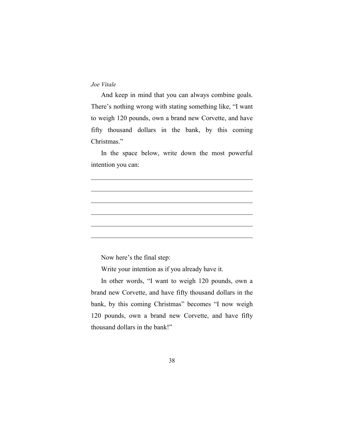And keep in mind that you can always combine goals. There's nothing wrong with stating something like, "I want to weigh 120 pounds, own a brand new Corvette, and have fifty thousand dollars in the bank, by this coming Christmas."

In the space below, write down the most powerful intention you can:

 $\mathcal{L}_\text{max}$  , and the contract of the contract of the contract of the contract of the contract of the contract of the contract of the contract of the contract of the contract of the contract of the contract of the contr

 $\mathcal{L}_\text{max}$  , and the contract of the contract of the contract of the contract of the contract of the contract of the contract of the contract of the contract of the contract of the contract of the contract of the contr

 $\mathcal{L}_\text{max}$  , and the contract of the contract of the contract of the contract of the contract of the contract of the contract of the contract of the contract of the contract of the contract of the contract of the contr

 $\mathcal{L}_\text{max}$  , and the contract of the contract of the contract of the contract of the contract of the contract of the contract of the contract of the contract of the contract of the contract of the contract of the contr

 $\mathcal{L}_\text{max}$  , and the contract of the contract of the contract of the contract of the contract of the contract of the contract of the contract of the contract of the contract of the contract of the contract of the contr

 $\mathcal{L}_\text{max}$  , and the set of the set of the set of the set of the set of the set of the set of the set of the set of the set of the set of the set of the set of the set of the set of the set of the set of the set of the

Now here's the final step:

Write your intention as if you already have it.

In other words, "I want to weigh 120 pounds, own a brand new Corvette, and have fifty thousand dollars in the bank, by this coming Christmas" becomes "I now weigh 120 pounds, own a brand new Corvette, and have fifty thousand dollars in the bank!"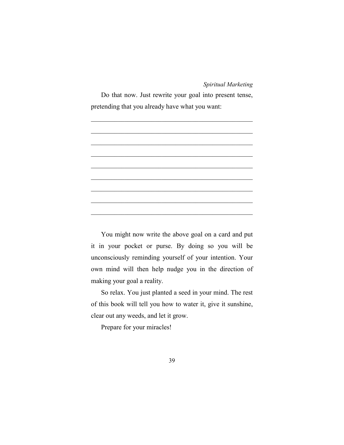Do that now. Just rewrite your goal into present tense, pretending that you already have what you want:



You might now write the above goal on a card and put it in your pocket or purse. By doing so you will be unconsciously reminding yourself of your intention. Your own mind will then help nudge you in the direction of making your goal a reality.

So relax. You just planted a seed in your mind. The rest of this book will tell you how to water it, give it sunshine, clear out any weeds, and let it grow.

Prepare for your miracles!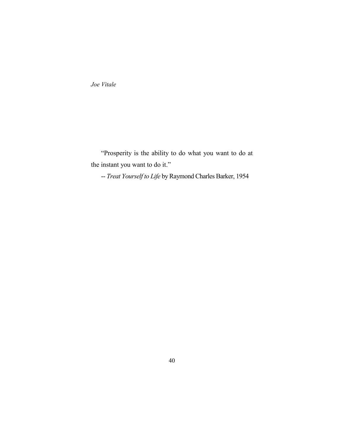"Prosperity is the ability to do what you want to do at the instant you want to do it."

-- *Treat Yourself to Life* by Raymond Charles Barker, 1954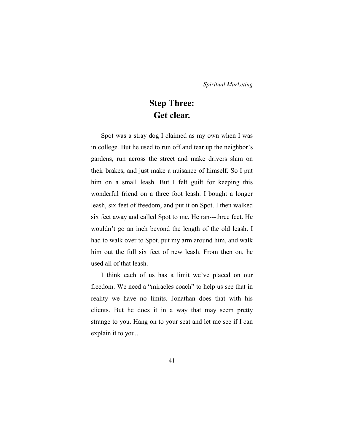# **Step Three: Get clear.**

Spot was a stray dog I claimed as my own when I was in college. But he used to run off and tear up the neighbor's gardens, run across the street and make drivers slam on their brakes, and just make a nuisance of himself. So I put him on a small leash. But I felt guilt for keeping this wonderful friend on a three foot leash. I bought a longer leash, six feet of freedom, and put it on Spot. I then walked six feet away and called Spot to me. He ran---three feet. He wouldn't go an inch beyond the length of the old leash. I had to walk over to Spot, put my arm around him, and walk him out the full six feet of new leash. From then on, he used all of that leash.

I think each of us has a limit we've placed on our freedom. We need a "miracles coach" to help us see that in reality we have no limits. Jonathan does that with his clients. But he does it in a way that may seem pretty strange to you. Hang on to your seat and let me see if I can explain it to you...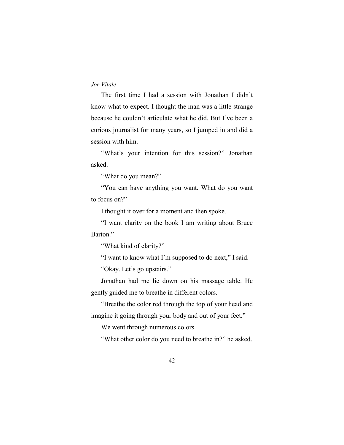The first time I had a session with Jonathan I didn't know what to expect. I thought the man was a little strange because he couldn't articulate what he did. But I've been a curious journalist for many years, so I jumped in and did a session with him.

"What's your intention for this session?" Jonathan asked.

"What do you mean?"

"You can have anything you want. What do you want to focus on?"

I thought it over for a moment and then spoke.

"I want clarity on the book I am writing about Bruce Barton."

"What kind of clarity?"

"I want to know what I'm supposed to do next," I said.

"Okay. Let's go upstairs."

Jonathan had me lie down on his massage table. He gently guided me to breathe in different colors.

"Breathe the color red through the top of your head and imagine it going through your body and out of your feet."

We went through numerous colors.

"What other color do you need to breathe in?" he asked.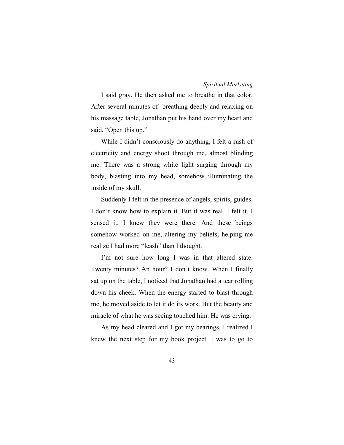I said gray. He then asked me to breathe in that color. After several minutes of breathing deeply and relaxing on his massage table, Jonathan put his hand over my heart and said, "Open this up."

While I didn't consciously do anything, I felt a rush of electricity and energy shoot through me, almost blinding me. There was a strong white light surging through my body, blasting into my head, somehow illuminating the inside of my skull.

Suddenly I felt in the presence of angels, spirits, guides. I don't know how to explain it. But it was real. I felt it. I sensed it. I knew they were there. And these beings somehow worked on me, altering my beliefs, helping me realize I had more "leash" than I thought.

I'm not sure how long I was in that altered state. Twenty minutes? An hour? I don't know. When I finally sat up on the table, I noticed that Jonathan had a tear rolling down his cheek. When the energy started to blast through me, he moved aside to let it do its work. But the beauty and miracle of what he was seeing touched him. He was crying.

As my head cleared and I got my bearings, I realized I knew the next step for my book project. I was to go to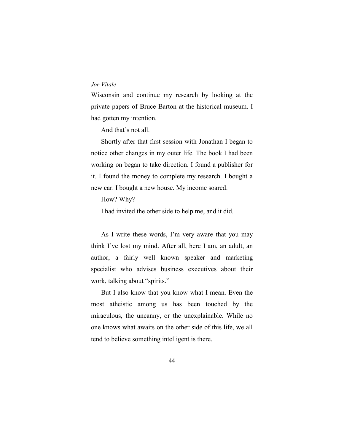Wisconsin and continue my research by looking at the private papers of Bruce Barton at the historical museum. I had gotten my intention.

And that's not all.

Shortly after that first session with Jonathan I began to notice other changes in my outer life. The book I had been working on began to take direction. I found a publisher for it. I found the money to complete my research. I bought a new car. I bought a new house. My income soared.

How? Why?

I had invited the other side to help me, and it did.

As I write these words, I'm very aware that you may think I've lost my mind. After all, here I am, an adult, an author, a fairly well known speaker and marketing specialist who advises business executives about their work, talking about "spirits."

But I also know that you know what I mean. Even the most atheistic among us has been touched by the miraculous, the uncanny, or the unexplainable. While no one knows what awaits on the other side of this life, we all tend to believe something intelligent is there.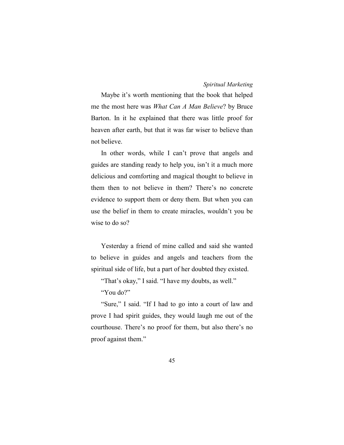Maybe it's worth mentioning that the book that helped me the most here was *What Can A Man Believe*? by Bruce Barton. In it he explained that there was little proof for heaven after earth, but that it was far wiser to believe than not believe.

In other words, while I can't prove that angels and guides are standing ready to help you, isn't it a much more delicious and comforting and magical thought to believe in them then to not believe in them? There's no concrete evidence to support them or deny them. But when you can use the belief in them to create miracles, wouldn't you be wise to do so?

Yesterday a friend of mine called and said she wanted to believe in guides and angels and teachers from the spiritual side of life, but a part of her doubted they existed.

"That's okay," I said. "I have my doubts, as well."

"You do?"

"Sure," I said. "If I had to go into a court of law and prove I had spirit guides, they would laugh me out of the courthouse. There's no proof for them, but also there's no proof against them."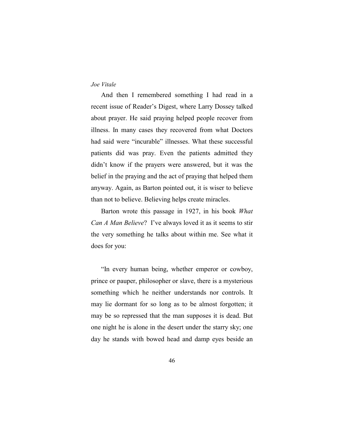And then I remembered something I had read in a recent issue of Reader's Digest, where Larry Dossey talked about prayer. He said praying helped people recover from illness. In many cases they recovered from what Doctors had said were "incurable" illnesses. What these successful patients did was pray. Even the patients admitted they didn't know if the prayers were answered, but it was the belief in the praying and the act of praying that helped them anyway. Again, as Barton pointed out, it is wiser to believe than not to believe. Believing helps create miracles.

Barton wrote this passage in 1927, in his book *What Can A Man Believe*? I've always loved it as it seems to stir the very something he talks about within me. See what it does for you:

"In every human being, whether emperor or cowboy, prince or pauper, philosopher or slave, there is a mysterious something which he neither understands nor controls. It may lie dormant for so long as to be almost forgotten; it may be so repressed that the man supposes it is dead. But one night he is alone in the desert under the starry sky; one day he stands with bowed head and damp eyes beside an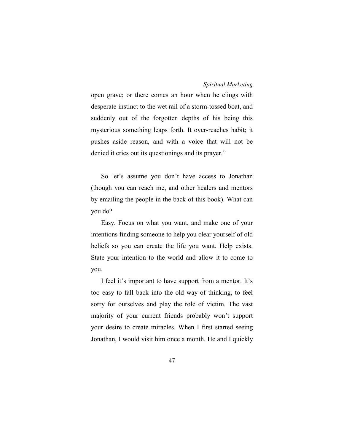open grave; or there comes an hour when he clings with desperate instinct to the wet rail of a storm-tossed boat, and suddenly out of the forgotten depths of his being this mysterious something leaps forth. It over-reaches habit; it pushes aside reason, and with a voice that will not be denied it cries out its questionings and its prayer."

So let's assume you don't have access to Jonathan (though you can reach me, and other healers and mentors by emailing the people in the back of this book). What can you do?

Easy. Focus on what you want, and make one of your intentions finding someone to help you clear yourself of old beliefs so you can create the life you want. Help exists. State your intention to the world and allow it to come to you.

I feel it's important to have support from a mentor. It's too easy to fall back into the old way of thinking, to feel sorry for ourselves and play the role of victim. The vast majority of your current friends probably won't support your desire to create miracles. When I first started seeing Jonathan, I would visit him once a month. He and I quickly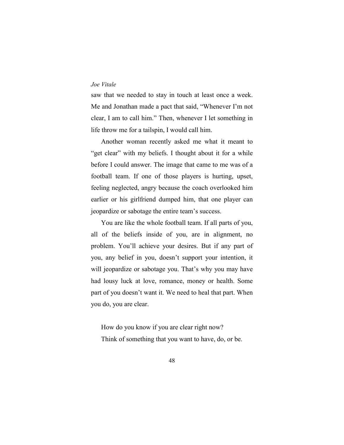saw that we needed to stay in touch at least once a week. Me and Jonathan made a pact that said, "Whenever I'm not clear, I am to call him." Then, whenever I let something in life throw me for a tailspin, I would call him.

Another woman recently asked me what it meant to "get clear" with my beliefs. I thought about it for a while before I could answer. The image that came to me was of a football team. If one of those players is hurting, upset, feeling neglected, angry because the coach overlooked him earlier or his girlfriend dumped him, that one player can jeopardize or sabotage the entire team's success.

You are like the whole football team. If all parts of you, all of the beliefs inside of you, are in alignment, no problem. You'll achieve your desires. But if any part of you, any belief in you, doesn't support your intention, it will jeopardize or sabotage you. That's why you may have had lousy luck at love, romance, money or health. Some part of you doesn't want it. We need to heal that part. When you do, you are clear.

How do you know if you are clear right now? Think of something that you want to have, do, or be.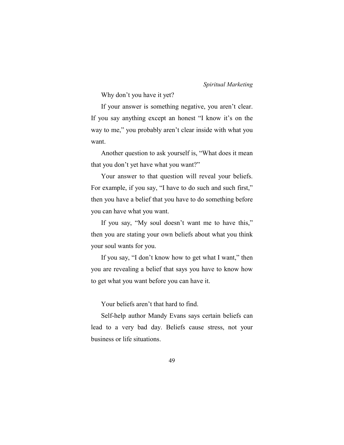Why don't you have it yet?

If your answer is something negative, you aren't clear. If you say anything except an honest "I know it's on the way to me," you probably aren't clear inside with what you want.

Another question to ask yourself is, "What does it mean that you don't yet have what you want?"

Your answer to that question will reveal your beliefs. For example, if you say, "I have to do such and such first," then you have a belief that you have to do something before you can have what you want.

If you say, "My soul doesn't want me to have this," then you are stating your own beliefs about what you think your soul wants for you.

If you say, "I don't know how to get what I want," then you are revealing a belief that says you have to know how to get what you want before you can have it.

Your beliefs aren't that hard to find.

Self-help author Mandy Evans says certain beliefs can lead to a very bad day. Beliefs cause stress, not your business or life situations.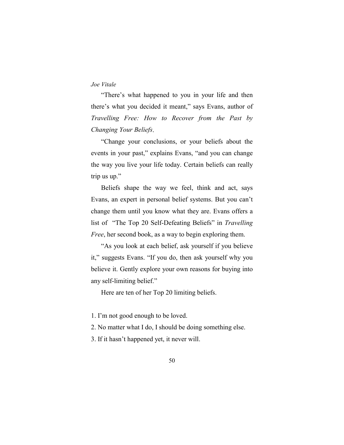"There's what happened to you in your life and then there's what you decided it meant," says Evans, author of *Travelling Free: How to Recover from the Past by Changing Your Beliefs*.

"Change your conclusions, or your beliefs about the events in your past," explains Evans, "and you can change the way you live your life today. Certain beliefs can really trip us up."

Beliefs shape the way we feel, think and act, says Evans, an expert in personal belief systems. But you can't change them until you know what they are. Evans offers a list of "The Top 20 Self-Defeating Beliefs" in *Travelling Free*, her second book, as a way to begin exploring them.

"As you look at each belief, ask yourself if you believe it," suggests Evans. "If you do, then ask yourself why you believe it. Gently explore your own reasons for buying into any self-limiting belief."

Here are ten of her Top 20 limiting beliefs.

1. I'm not good enough to be loved.

2. No matter what I do, I should be doing something else.

3. If it hasn't happened yet, it never will.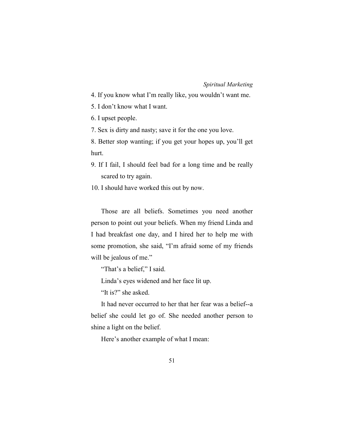- 4. If you know what I'm really like, you wouldn't want me.
- 5. I don't know what I want.
- 6. I upset people.
- 7. Sex is dirty and nasty; save it for the one you love.

8. Better stop wanting; if you get your hopes up, you'll get hurt.

- 9. If I fail, I should feel bad for a long time and be really scared to try again.
- 10. I should have worked this out by now.

Those are all beliefs. Sometimes you need another person to point out your beliefs. When my friend Linda and I had breakfast one day, and I hired her to help me with some promotion, she said, "I'm afraid some of my friends will be jealous of me."

"That's a belief," I said.

Linda's eyes widened and her face lit up.

"It is?" she asked.

It had never occurred to her that her fear was a belief--a belief she could let go of. She needed another person to shine a light on the belief.

Here's another example of what I mean: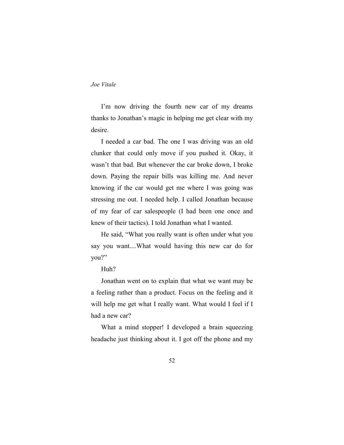I'm now driving the fourth new car of my dreams thanks to Jonathan's magic in helping me get clear with my desire.

I needed a car bad. The one I was driving was an old clunker that could only move if you pushed it. Okay, it wasn't that bad. But whenever the car broke down, I broke down. Paying the repair bills was killing me. And never knowing if the car would get me where I was going was stressing me out. I needed help. I called Jonathan because of my fear of car salespeople (I had been one once and knew of their tactics). I told Jonathan what I wanted.

He said, "What you really want is often under what you say you want....What would having this new car do for you?"

Huh?

Jonathan went on to explain that what we want may be a feeling rather than a product. Focus on the feeling and it will help me get what I really want. What would I feel if I had a new car?

What a mind stopper! I developed a brain squeezing headache just thinking about it. I got off the phone and my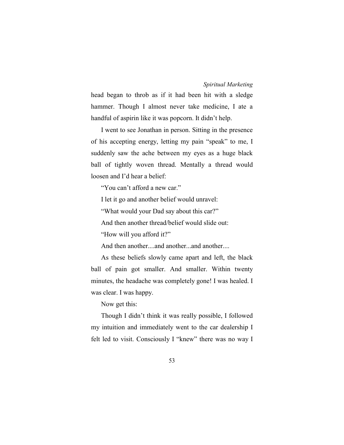head began to throb as if it had been hit with a sledge hammer. Though I almost never take medicine, I ate a handful of aspirin like it was popcorn. It didn't help.

I went to see Jonathan in person. Sitting in the presence of his accepting energy, letting my pain "speak" to me, I suddenly saw the ache between my eyes as a huge black ball of tightly woven thread. Mentally a thread would loosen and I'd hear a belief:

"You can't afford a new car."

I let it go and another belief would unravel:

"What would your Dad say about this car?"

And then another thread/belief would slide out:

"How will you afford it?"

And then another....and another...and another....

As these beliefs slowly came apart and left, the black ball of pain got smaller. And smaller. Within twenty minutes, the headache was completely gone! I was healed. I was clear. I was happy.

Now get this:

Though I didn't think it was really possible, I followed my intuition and immediately went to the car dealership I felt led to visit. Consciously I "knew" there was no way I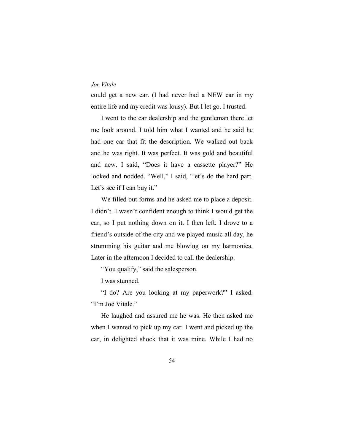could get a new car. (I had never had a NEW car in my entire life and my credit was lousy). But I let go. I trusted.

I went to the car dealership and the gentleman there let me look around. I told him what I wanted and he said he had one car that fit the description. We walked out back and he was right. It was perfect. It was gold and beautiful and new. I said, "Does it have a cassette player?" He looked and nodded. "Well," I said, "let's do the hard part. Let's see if I can buy it."

We filled out forms and he asked me to place a deposit. I didn't. I wasn't confident enough to think I would get the car, so I put nothing down on it. I then left. I drove to a friend's outside of the city and we played music all day, he strumming his guitar and me blowing on my harmonica. Later in the afternoon I decided to call the dealership.

"You qualify," said the salesperson.

I was stunned.

"I do? Are you looking at my paperwork?" I asked. "I'm Joe Vitale."

He laughed and assured me he was. He then asked me when I wanted to pick up my car. I went and picked up the car, in delighted shock that it was mine. While I had no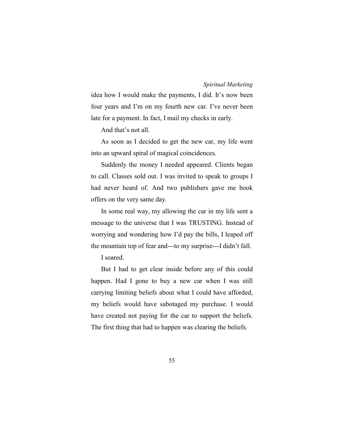idea how I would make the payments, I did. It's now been four years and I'm on my fourth new car. I've never been late for a payment. In fact, I mail my checks in early.

And that's not all.

As soon as I decided to get the new car, my life went into an upward spiral of magical coincidences.

Suddenly the money I needed appeared. Clients began to call. Classes sold out. I was invited to speak to groups I had never heard of. And two publishers gave me book offers on the very same day.

In some real way, my allowing the car in my life sent a message to the universe that I was TRUSTING. Instead of worrying and wondering how I'd pay the bills, I leaped off the mountain top of fear and---to my surprise---I didn't fall.

# I soared.

But I had to get clear inside before any of this could happen. Had I gone to buy a new car when I was still carrying limiting beliefs about what I could have afforded, my beliefs would have sabotaged my purchase. I would have created not paying for the car to support the beliefs. The first thing that had to happen was clearing the beliefs.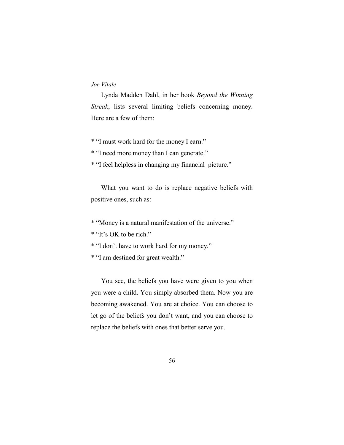Lynda Madden Dahl, in her book *Beyond the Winning Streak*, lists several limiting beliefs concerning money. Here are a few of them:

\* "I must work hard for the money I earn."

\* "I need more money than I can generate."

\* "I feel helpless in changing my financial picture."

What you want to do is replace negative beliefs with positive ones, such as:

\* "Money is a natural manifestation of the universe."

\* "It's OK to be rich."

\* "I don't have to work hard for my money."

\* "I am destined for great wealth."

You see, the beliefs you have were given to you when you were a child. You simply absorbed them. Now you are becoming awakened. You are at choice. You can choose to let go of the beliefs you don't want, and you can choose to replace the beliefs with ones that better serve you.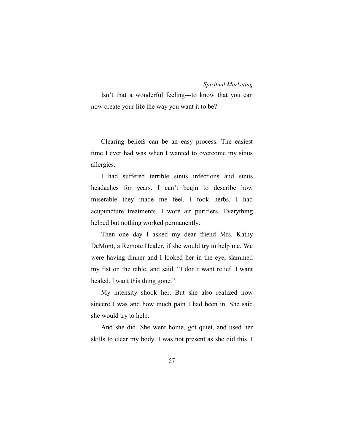Isn't that a wonderful feeling---to know that you can now create your life the way you want it to be?

Clearing beliefs can be an easy process. The easiest time I ever had was when I wanted to overcome my sinus allergies.

I had suffered terrible sinus infections and sinus headaches for years. I can't begin to describe how miserable they made me feel. I took herbs. I had acupuncture treatments. I wore air purifiers. Everything helped but nothing worked permanently.

Then one day I asked my dear friend Mrs. Kathy DeMont, a Remote Healer, if she would try to help me. We were having dinner and I looked her in the eye, slammed my fist on the table, and said, "I don't want relief. I want healed. I want this thing gone."

My intensity shook her. But she also realized how sincere I was and how much pain I had been in. She said she would try to help.

And she did. She went home, got quiet, and used her skills to clear my body. I was not present as she did this. I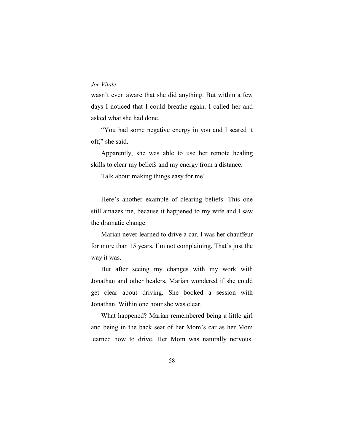wasn't even aware that she did anything. But within a few days I noticed that I could breathe again. I called her and asked what she had done.

"You had some negative energy in you and I scared it off," she said.

Apparently, she was able to use her remote healing skills to clear my beliefs and my energy from a distance.

Talk about making things easy for me!

Here's another example of clearing beliefs. This one still amazes me, because it happened to my wife and I saw the dramatic change.

Marian never learned to drive a car. I was her chauffeur for more than 15 years. I'm not complaining. That's just the way it was.

But after seeing my changes with my work with Jonathan and other healers, Marian wondered if she could get clear about driving. She booked a session with Jonathan. Within one hour she was clear.

What happened? Marian remembered being a little girl and being in the back seat of her Mom's car as her Mom learned how to drive. Her Mom was naturally nervous.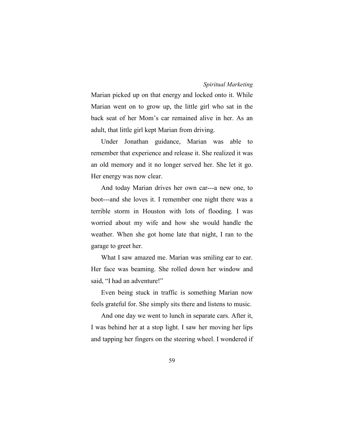Marian picked up on that energy and locked onto it. While Marian went on to grow up, the little girl who sat in the back seat of her Mom's car remained alive in her. As an adult, that little girl kept Marian from driving.

Under Jonathan guidance, Marian was able to remember that experience and release it. She realized it was an old memory and it no longer served her. She let it go. Her energy was now clear.

And today Marian drives her own car---a new one, to boot---and she loves it. I remember one night there was a terrible storm in Houston with lots of flooding. I was worried about my wife and how she would handle the weather. When she got home late that night, I ran to the garage to greet her.

What I saw amazed me. Marian was smiling ear to ear. Her face was beaming. She rolled down her window and said, "I had an adventure!"

Even being stuck in traffic is something Marian now feels grateful for. She simply sits there and listens to music.

And one day we went to lunch in separate cars. After it, I was behind her at a stop light. I saw her moving her lips and tapping her fingers on the steering wheel. I wondered if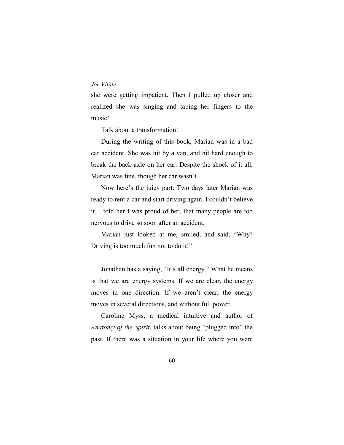she were getting impatient. Then I pulled up closer and realized she was singing and taping her fingers to the music!

Talk about a transformation!

During the writing of this book, Marian was in a bad car accident. She was hit by a van, and hit hard enough to break the back axle on her car. Despite the shock of it all, Marian was fine, though her car wasn't.

Now here's the juicy part: Two days later Marian was ready to rent a car and start driving again. I couldn't believe it. I told her I was proud of her, that many people are too nervous to drive so soon after an accident.

Marian just looked at me, smiled, and said, "Why? Driving is too much fun not to do it!"

Jonathan has a saying, "It's all energy." What he means is that we are energy systems. If we are clear, the energy moves in one direction. If we aren't clear, the energy moves in several directions, and without full power.

Caroline Myss, a medical intuitive and author of *Anatomy of the Spirit*, talks about being "plugged into" the past. If there was a situation in your life where you were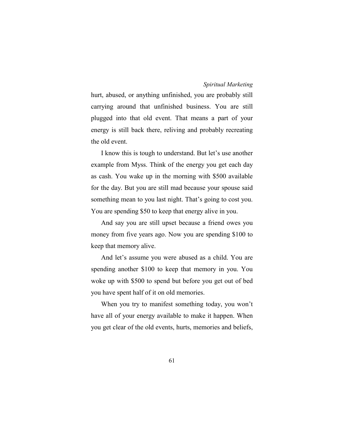hurt, abused, or anything unfinished, you are probably still carrying around that unfinished business. You are still plugged into that old event. That means a part of your energy is still back there, reliving and probably recreating the old event.

I know this is tough to understand. But let's use another example from Myss. Think of the energy you get each day as cash. You wake up in the morning with \$500 available for the day. But you are still mad because your spouse said something mean to you last night. That's going to cost you. You are spending \$50 to keep that energy alive in you.

And say you are still upset because a friend owes you money from five years ago. Now you are spending \$100 to keep that memory alive.

And let's assume you were abused as a child. You are spending another \$100 to keep that memory in you. You woke up with \$500 to spend but before you get out of bed you have spent half of it on old memories.

When you try to manifest something today, you won't have all of your energy available to make it happen. When you get clear of the old events, hurts, memories and beliefs,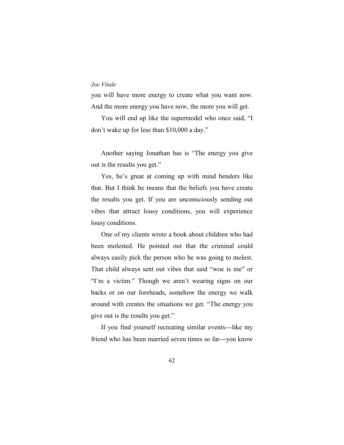you will have more energy to create what you want now. And the more energy you have now, the more you will get.

You will end up like the supermodel who once said, "I don't wake up for less than \$10,000 a day."

Another saying Jonathan has is "The energy you give out is the results you get."

Yes, he's great at coming up with mind benders like that. But I think he means that the beliefs you have create the results you get. If you are unconsciously sending out vibes that attract lousy conditions, you will experience lousy conditions.

One of my clients wrote a book about children who had been molested. He pointed out that the criminal could always easily pick the person who he was going to molest. That child always sent out vibes that said "woe is me" or "I'm a victim." Though we aren't wearing signs on our backs or on our foreheads, somehow the energy we walk around with creates the situations we get. "The energy you give out is the results you get."

If you find yourself recreating similar events---like my friend who has been married seven times so far---you know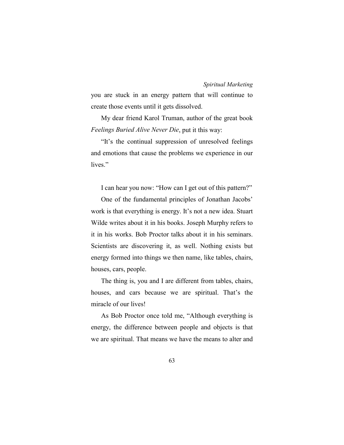you are stuck in an energy pattern that will continue to create those events until it gets dissolved.

My dear friend Karol Truman, author of the great book *Feelings Buried Alive Never Die*, put it this way:

"It's the continual suppression of unresolved feelings and emotions that cause the problems we experience in our lives."

I can hear you now: "How can I get out of this pattern?"

One of the fundamental principles of Jonathan Jacobs' work is that everything is energy. It's not a new idea. Stuart Wilde writes about it in his books. Joseph Murphy refers to it in his works. Bob Proctor talks about it in his seminars. Scientists are discovering it, as well. Nothing exists but energy formed into things we then name, like tables, chairs, houses, cars, people.

The thing is, you and I are different from tables, chairs, houses, and cars because we are spiritual. That's the miracle of our lives!

As Bob Proctor once told me, "Although everything is energy, the difference between people and objects is that we are spiritual. That means we have the means to alter and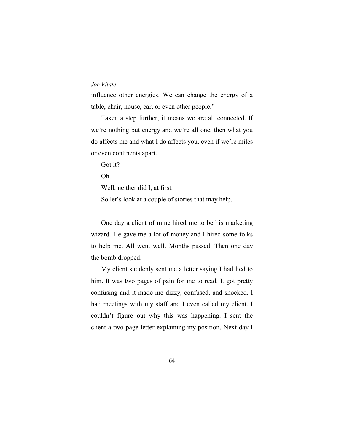influence other energies. We can change the energy of a table, chair, house, car, or even other people."

Taken a step further, it means we are all connected. If we're nothing but energy and we're all one, then what you do affects me and what I do affects you, even if we're miles or even continents apart.

Got it?

Oh.

Well, neither did I, at first.

So let's look at a couple of stories that may help.

One day a client of mine hired me to be his marketing wizard. He gave me a lot of money and I hired some folks to help me. All went well. Months passed. Then one day the bomb dropped.

My client suddenly sent me a letter saying I had lied to him. It was two pages of pain for me to read. It got pretty confusing and it made me dizzy, confused, and shocked. I had meetings with my staff and I even called my client. I couldn't figure out why this was happening. I sent the client a two page letter explaining my position. Next day I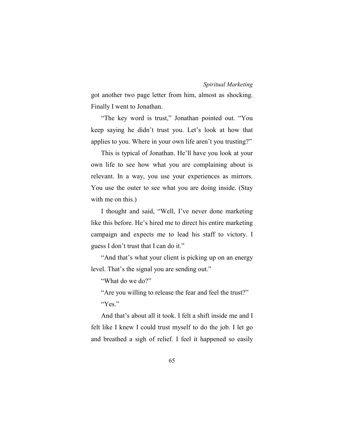got another two page letter from him, almost as shocking. Finally I went to Jonathan.

"The key word is trust," Jonathan pointed out. "You keep saying he didn't trust you. Let's look at how that applies to you. Where in your own life aren't you trusting?"

This is typical of Jonathan. He'll have you look at your own life to see how what you are complaining about is relevant. In a way, you use your experiences as mirrors. You use the outer to see what you are doing inside. (Stay with me on this.)

I thought and said, "Well, I've never done marketing like this before. He's hired me to direct his entire marketing campaign and expects me to lead his staff to victory. I guess I don't trust that I can do it."

"And that's what your client is picking up on an energy level. That's the signal you are sending out."

"What do we do?"

"Are you willing to release the fear and feel the trust?" "Yes."

And that's about all it took. I felt a shift inside me and I felt like I knew I could trust myself to do the job. I let go and breathed a sigh of relief. I feel it happened so easily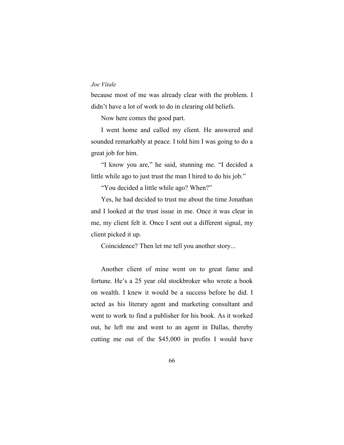because most of me was already clear with the problem. I didn't have a lot of work to do in clearing old beliefs.

Now here comes the good part.

I went home and called my client. He answered and sounded remarkably at peace. I told him I was going to do a great job for him.

"I know you are," he said, stunning me. "I decided a little while ago to just trust the man I hired to do his job."

"You decided a little while ago? When?"

Yes, he had decided to trust me about the time Jonathan and I looked at the trust issue in me. Once it was clear in me, my client felt it. Once I sent out a different signal, my client picked it up.

Coincidence? Then let me tell you another story...

Another client of mine went on to great fame and fortune. He's a 25 year old stockbroker who wrote a book on wealth. I knew it would be a success before he did. I acted as his literary agent and marketing consultant and went to work to find a publisher for his book. As it worked out, he left me and went to an agent in Dallas, thereby cutting me out of the \$45,000 in profits I would have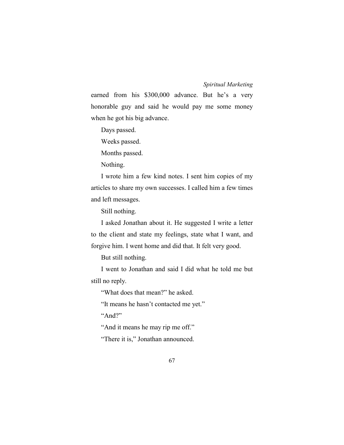earned from his \$300,000 advance. But he's a very honorable guy and said he would pay me some money when he got his big advance.

Days passed.

Weeks passed.

Months passed.

Nothing.

I wrote him a few kind notes. I sent him copies of my articles to share my own successes. I called him a few times and left messages.

Still nothing.

I asked Jonathan about it. He suggested I write a letter to the client and state my feelings, state what I want, and forgive him. I went home and did that. It felt very good.

But still nothing.

I went to Jonathan and said I did what he told me but still no reply.

"What does that mean?" he asked.

"It means he hasn't contacted me yet."

"And?"

"And it means he may rip me off."

"There it is," Jonathan announced.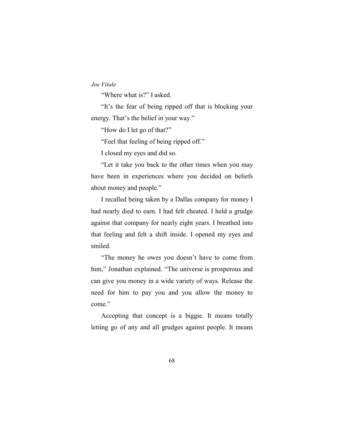"Where what is?" I asked.

"It's the fear of being ripped off that is blocking your energy. That's the belief in your way."

"How do I let go of that?"

"Feel that feeling of being ripped off."

I closed my eyes and did so.

"Let it take you back to the other times when you may have been in experiences where you decided on beliefs about money and people."

I recalled being taken by a Dallas company for money I had nearly died to earn. I had felt cheated. I held a grudge against that company for nearly eight years. I breathed into that feeling and felt a shift inside. I opened my eyes and smiled.

"The money he owes you doesn't have to come from him," Jonathan explained. "The universe is prosperous and can give you money in a wide variety of ways. Release the need for him to pay you and you allow the money to come."

Accepting that concept is a biggie. It means totally letting go of any and all grudges against people. It means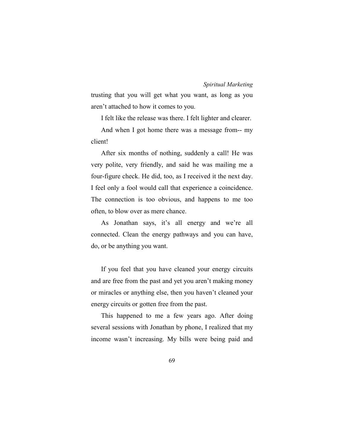trusting that you will get what you want, as long as you aren't attached to how it comes to you.

I felt like the release was there. I felt lighter and clearer.

And when I got home there was a message from-- my client!

After six months of nothing, suddenly a call! He was very polite, very friendly, and said he was mailing me a four-figure check. He did, too, as I received it the next day. I feel only a fool would call that experience a coincidence. The connection is too obvious, and happens to me too often, to blow over as mere chance.

As Jonathan says, it's all energy and we're all connected. Clean the energy pathways and you can have, do, or be anything you want.

If you feel that you have cleaned your energy circuits and are free from the past and yet you aren't making money or miracles or anything else, then you haven't cleaned your energy circuits or gotten free from the past.

This happened to me a few years ago. After doing several sessions with Jonathan by phone, I realized that my income wasn't increasing. My bills were being paid and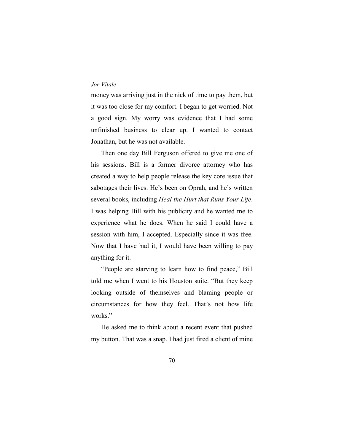money was arriving just in the nick of time to pay them, but it was too close for my comfort. I began to get worried. Not a good sign. My worry was evidence that I had some unfinished business to clear up. I wanted to contact Jonathan, but he was not available.

Then one day Bill Ferguson offered to give me one of his sessions. Bill is a former divorce attorney who has created a way to help people release the key core issue that sabotages their lives. He's been on Oprah, and he's written several books, including *Heal the Hurt that Runs Your Life*. I was helping Bill with his publicity and he wanted me to experience what he does. When he said I could have a session with him, I accepted. Especially since it was free. Now that I have had it, I would have been willing to pay anything for it.

"People are starving to learn how to find peace," Bill told me when I went to his Houston suite. "But they keep looking outside of themselves and blaming people or circumstances for how they feel. That's not how life works."

He asked me to think about a recent event that pushed my button. That was a snap. I had just fired a client of mine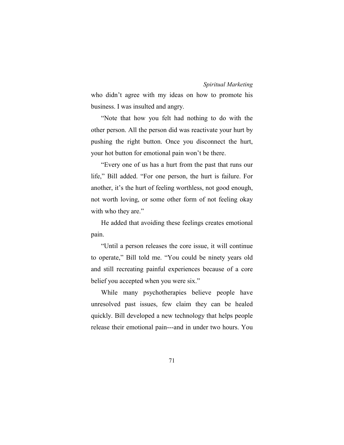who didn't agree with my ideas on how to promote his business. I was insulted and angry.

"Note that how you felt had nothing to do with the other person. All the person did was reactivate your hurt by pushing the right button. Once you disconnect the hurt, your hot button for emotional pain won't be there.

"Every one of us has a hurt from the past that runs our life," Bill added. "For one person, the hurt is failure. For another, it's the hurt of feeling worthless, not good enough, not worth loving, or some other form of not feeling okay with who they are."

He added that avoiding these feelings creates emotional pain.

"Until a person releases the core issue, it will continue to operate," Bill told me. "You could be ninety years old and still recreating painful experiences because of a core belief you accepted when you were six."

While many psychotherapies believe people have unresolved past issues, few claim they can be healed quickly. Bill developed a new technology that helps people release their emotional pain---and in under two hours. You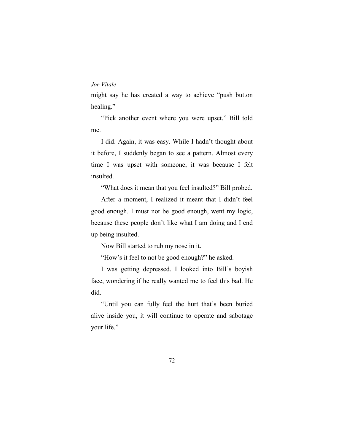might say he has created a way to achieve "push button healing."

"Pick another event where you were upset," Bill told me.

I did. Again, it was easy. While I hadn't thought about it before, I suddenly began to see a pattern. Almost every time I was upset with someone, it was because I felt insulted.

"What does it mean that you feel insulted?" Bill probed.

After a moment, I realized it meant that I didn't feel good enough. I must not be good enough, went my logic, because these people don't like what I am doing and I end up being insulted.

Now Bill started to rub my nose in it.

"How's it feel to not be good enough?" he asked.

I was getting depressed. I looked into Bill's boyish face, wondering if he really wanted me to feel this bad. He did.

"Until you can fully feel the hurt that's been buried alive inside you, it will continue to operate and sabotage your life."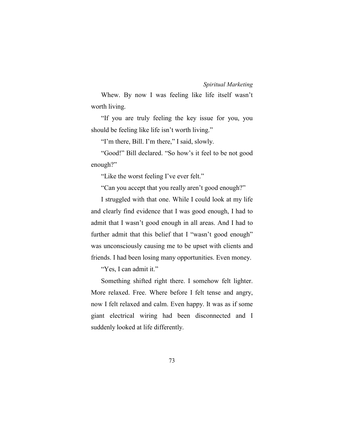Whew. By now I was feeling like life itself wasn't worth living.

"If you are truly feeling the key issue for you, you should be feeling like life isn't worth living."

"I'm there, Bill. I'm there," I said, slowly.

"Good!" Bill declared. "So how's it feel to be not good enough?"

"Like the worst feeling I've ever felt."

"Can you accept that you really aren't good enough?"

I struggled with that one. While I could look at my life and clearly find evidence that I was good enough, I had to admit that I wasn't good enough in all areas. And I had to further admit that this belief that I "wasn't good enough" was unconsciously causing me to be upset with clients and friends. I had been losing many opportunities. Even money.

"Yes, I can admit it."

Something shifted right there. I somehow felt lighter. More relaxed. Free. Where before I felt tense and angry, now I felt relaxed and calm. Even happy. It was as if some giant electrical wiring had been disconnected and I suddenly looked at life differently.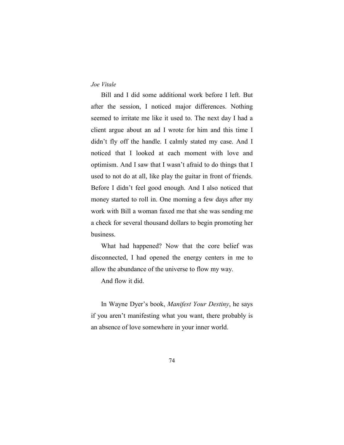Bill and I did some additional work before I left. But after the session, I noticed major differences. Nothing seemed to irritate me like it used to. The next day I had a client argue about an ad I wrote for him and this time I didn't fly off the handle. I calmly stated my case. And I noticed that I looked at each moment with love and optimism. And I saw that I wasn't afraid to do things that I used to not do at all, like play the guitar in front of friends. Before I didn't feel good enough. And I also noticed that money started to roll in. One morning a few days after my work with Bill a woman faxed me that she was sending me a check for several thousand dollars to begin promoting her business.

What had happened? Now that the core belief was disconnected, I had opened the energy centers in me to allow the abundance of the universe to flow my way.

And flow it did.

In Wayne Dyer's book, *Manifest Your Destiny*, he says if you aren't manifesting what you want, there probably is an absence of love somewhere in your inner world.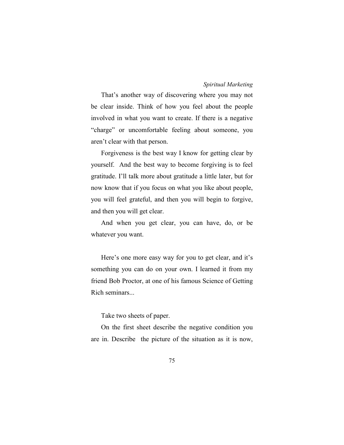That's another way of discovering where you may not be clear inside. Think of how you feel about the people involved in what you want to create. If there is a negative "charge" or uncomfortable feeling about someone, you aren't clear with that person.

Forgiveness is the best way I know for getting clear by yourself. And the best way to become forgiving is to feel gratitude. I'll talk more about gratitude a little later, but for now know that if you focus on what you like about people, you will feel grateful, and then you will begin to forgive, and then you will get clear.

And when you get clear, you can have, do, or be whatever you want.

Here's one more easy way for you to get clear, and it's something you can do on your own. I learned it from my friend Bob Proctor, at one of his famous Science of Getting Rich seminars...

Take two sheets of paper.

On the first sheet describe the negative condition you are in. Describe the picture of the situation as it is now,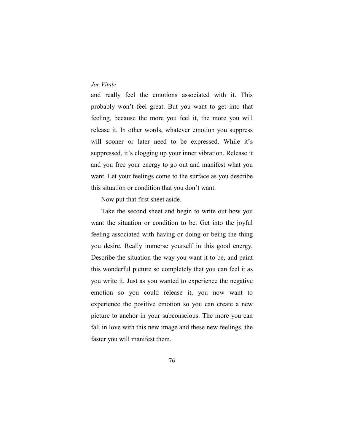and really feel the emotions associated with it. This probably won't feel great. But you want to get into that feeling, because the more you feel it, the more you will release it. In other words, whatever emotion you suppress will sooner or later need to be expressed. While it's suppressed, it's clogging up your inner vibration. Release it and you free your energy to go out and manifest what you want. Let your feelings come to the surface as you describe this situation or condition that you don't want.

Now put that first sheet aside.

Take the second sheet and begin to write out how you want the situation or condition to be. Get into the joyful feeling associated with having or doing or being the thing you desire. Really immerse yourself in this good energy. Describe the situation the way you want it to be, and paint this wonderful picture so completely that you can feel it as you write it. Just as you wanted to experience the negative emotion so you could release it, you now want to experience the positive emotion so you can create a new picture to anchor in your subconscious. The more you can fall in love with this new image and these new feelings, the faster you will manifest them.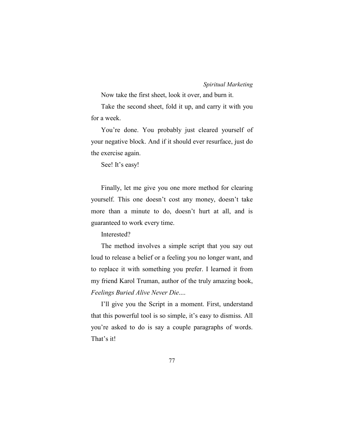Now take the first sheet, look it over, and burn it.

Take the second sheet, fold it up, and carry it with you for a week.

You're done. You probably just cleared yourself of your negative block. And if it should ever resurface, just do the exercise again.

See! It's easy!

Finally, let me give you one more method for clearing yourself. This one doesn't cost any money, doesn't take more than a minute to do, doesn't hurt at all, and is guaranteed to work every time.

Interested?

The method involves a simple script that you say out loud to release a belief or a feeling you no longer want, and to replace it with something you prefer. I learned it from my friend Karol Truman, author of the truly amazing book, *Feelings Buried Alive Never Die*....

I'll give you the Script in a moment. First, understand that this powerful tool is so simple, it's easy to dismiss. All you're asked to do is say a couple paragraphs of words. That's it!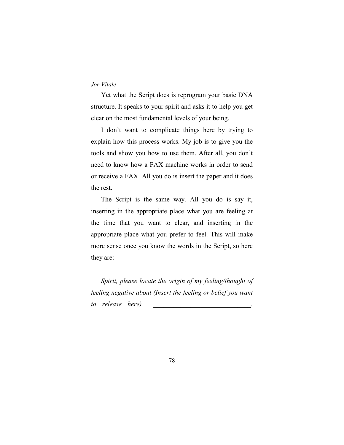Yet what the Script does is reprogram your basic DNA structure. It speaks to your spirit and asks it to help you get clear on the most fundamental levels of your being.

I don't want to complicate things here by trying to explain how this process works. My job is to give you the tools and show you how to use them. After all, you don't need to know how a FAX machine works in order to send or receive a FAX. All you do is insert the paper and it does the rest.

The Script is the same way. All you do is say it, inserting in the appropriate place what you are feeling at the time that you want to clear, and inserting in the appropriate place what you prefer to feel. This will make more sense once you know the words in the Script, so here they are:

*Spirit, please locate the origin of my feeling/thought of feeling negative about (Insert the feeling or belief you want to* release here)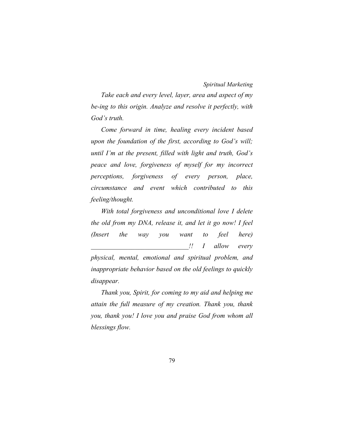*Take each and every level, layer, area and aspect of my be-ing to this origin. Analyze and resolve it perfectly, with God's truth.* 

*Come forward in time, healing every incident based upon the foundation of the first, according to God's will; until I'm at the present, filled with light and truth, God's peace and love, forgiveness of myself for my incorrect perceptions, forgiveness of every person, place, circumstance and event which contributed to this feeling/thought.* 

*With total forgiveness and unconditional love I delete the old from my DNA, release it, and let it go now! I feel (Insert the way you want to feel here) \_\_\_\_\_\_\_\_\_\_\_\_\_\_\_\_\_\_\_\_\_\_\_\_\_\_\_\_\_!! I allow every physical, mental, emotional and spiritual problem, and inappropriate behavior based on the old feelings to quickly disappear.* 

*Thank you, Spirit, for coming to my aid and helping me attain the full measure of my creation. Thank you, thank you, thank you! I love you and praise God from whom all blessings flow.*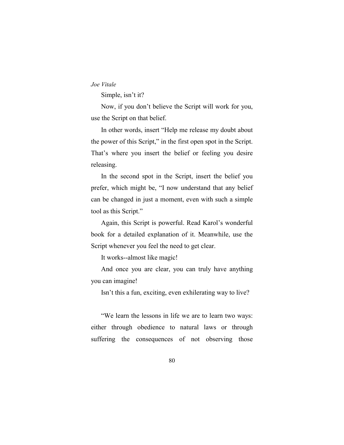Simple, isn't it?

Now, if you don't believe the Script will work for you, use the Script on that belief.

In other words, insert "Help me release my doubt about the power of this Script," in the first open spot in the Script. That's where you insert the belief or feeling you desire releasing.

In the second spot in the Script, insert the belief you prefer, which might be, "I now understand that any belief can be changed in just a moment, even with such a simple tool as this Script."

Again, this Script is powerful. Read Karol's wonderful book for a detailed explanation of it. Meanwhile, use the Script whenever you feel the need to get clear.

It works--almost like magic!

And once you are clear, you can truly have anything you can imagine!

Isn't this a fun, exciting, even exhilerating way to live?

"We learn the lessons in life we are to learn two ways: either through obedience to natural laws or through suffering the consequences of not observing those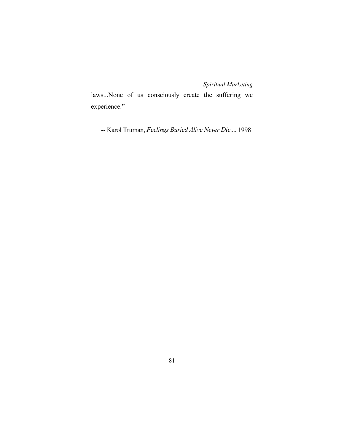laws...None of us consciously create the suffering we experience."

-- Karol Truman, *Feelings Buried Alive Never Die*..., 1998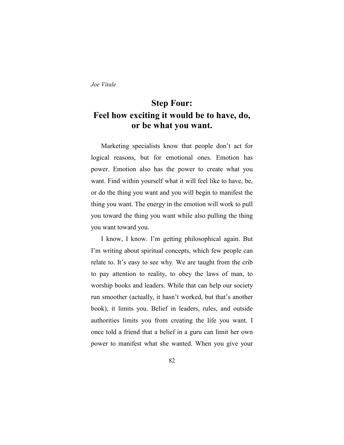# **Step Four: Feel how exciting it would be to have, do, or be what you want.**

Marketing specialists know that people don't act for logical reasons, but for emotional ones. Emotion has power. Emotion also has the power to create what you want. Find within yourself what it will feel like to have, be, or do the thing you want and you will begin to manifest the thing you want. The energy in the emotion will work to pull you toward the thing you want while also pulling the thing you want toward you.

I know, I know. I'm getting philosophical again. But I'm writing about spiritual concepts, which few people can relate to. It's easy to see why. We are taught from the crib to pay attention to reality, to obey the laws of man, to worship books and leaders. While that can help our society run smoother (actually, it hasn't worked, but that's another book), it limits you. Belief in leaders, rules, and outside authorities limits you from creating the life you want. I once told a friend that a belief in a guru can limit her own power to manifest what she wanted. When you give your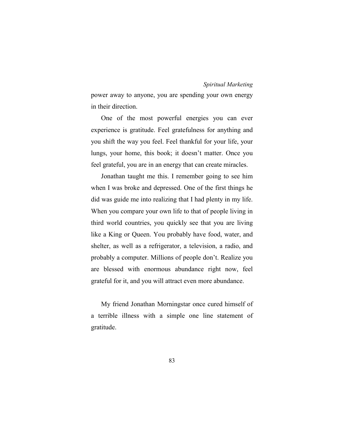power away to anyone, you are spending your own energy in their direction.

One of the most powerful energies you can ever experience is gratitude. Feel gratefulness for anything and you shift the way you feel. Feel thankful for your life, your lungs, your home, this book; it doesn't matter. Once you feel grateful, you are in an energy that can create miracles.

Jonathan taught me this. I remember going to see him when I was broke and depressed. One of the first things he did was guide me into realizing that I had plenty in my life. When you compare your own life to that of people living in third world countries, you quickly see that you are living like a King or Queen. You probably have food, water, and shelter, as well as a refrigerator, a television, a radio, and probably a computer. Millions of people don't. Realize you are blessed with enormous abundance right now, feel grateful for it, and you will attract even more abundance.

My friend Jonathan Morningstar once cured himself of a terrible illness with a simple one line statement of gratitude.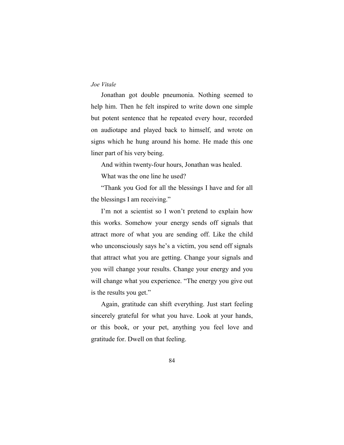Jonathan got double pneumonia. Nothing seemed to help him. Then he felt inspired to write down one simple but potent sentence that he repeated every hour, recorded on audiotape and played back to himself, and wrote on signs which he hung around his home. He made this one liner part of his very being.

And within twenty-four hours, Jonathan was healed.

What was the one line he used?

"Thank you God for all the blessings I have and for all the blessings I am receiving."

I'm not a scientist so I won't pretend to explain how this works. Somehow your energy sends off signals that attract more of what you are sending off. Like the child who unconsciously says he's a victim, you send off signals that attract what you are getting. Change your signals and you will change your results. Change your energy and you will change what you experience. "The energy you give out is the results you get."

Again, gratitude can shift everything. Just start feeling sincerely grateful for what you have. Look at your hands, or this book, or your pet, anything you feel love and gratitude for. Dwell on that feeling.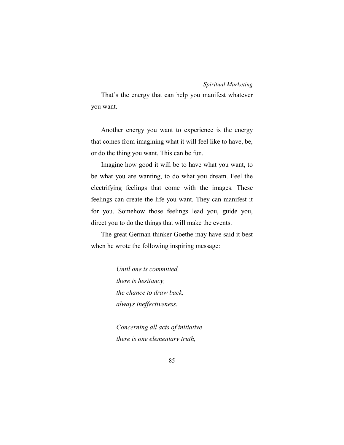That's the energy that can help you manifest whatever you want.

Another energy you want to experience is the energy that comes from imagining what it will feel like to have, be, or do the thing you want. This can be fun.

Imagine how good it will be to have what you want, to be what you are wanting, to do what you dream. Feel the electrifying feelings that come with the images. These feelings can create the life you want. They can manifest it for you. Somehow those feelings lead you, guide you, direct you to do the things that will make the events.

The great German thinker Goethe may have said it best when he wrote the following inspiring message:

> *Until one is committed, there is hesitancy, the chance to draw back, always ineffectiveness.*

*Concerning all acts of initiative there is one elementary truth,*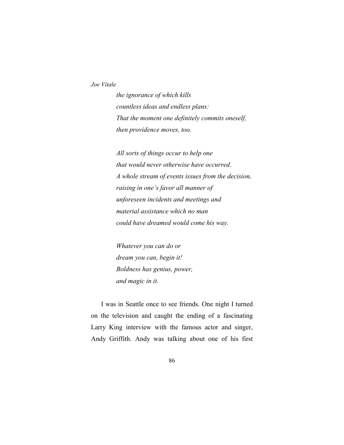*the ignorance of which kills countless ideas and endless plans: That the moment one definitely commits oneself, then providence moves, too.* 

*All sorts of things occur to help one that would never otherwise have occurred. A whole stream of events issues from the decision, raising in one's favor all manner of unforeseen incidents and meetings and material assistance which no man could have dreamed would come his way.* 

*Whatever you can do or dream you can, begin it! Boldness has genius, power, and magic in it.* 

I was in Seattle once to see friends. One night I turned on the television and caught the ending of a fascinating Larry King interview with the famous actor and singer, Andy Griffith. Andy was talking about one of his first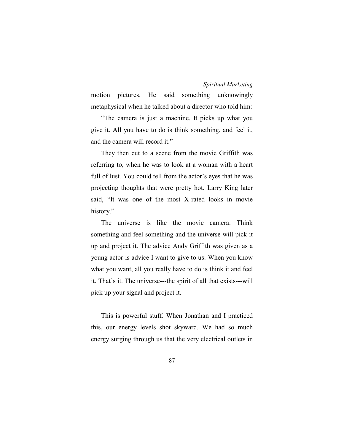motion pictures. He said something unknowingly metaphysical when he talked about a director who told him:

"The camera is just a machine. It picks up what you give it. All you have to do is think something, and feel it, and the camera will record it."

They then cut to a scene from the movie Griffith was referring to, when he was to look at a woman with a heart full of lust. You could tell from the actor's eyes that he was projecting thoughts that were pretty hot. Larry King later said, "It was one of the most X-rated looks in movie history."

The universe is like the movie camera. Think something and feel something and the universe will pick it up and project it. The advice Andy Griffith was given as a young actor is advice I want to give to us: When you know what you want, all you really have to do is think it and feel it. That's it. The universe---the spirit of all that exists---will pick up your signal and project it.

This is powerful stuff. When Jonathan and I practiced this, our energy levels shot skyward. We had so much energy surging through us that the very electrical outlets in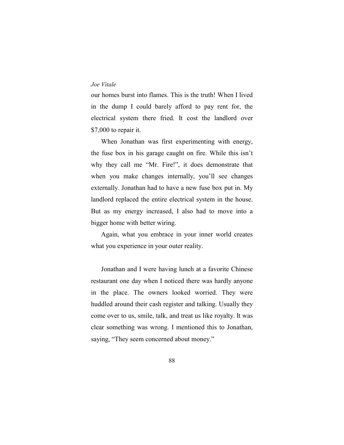our homes burst into flames. This is the truth! When I lived in the dump I could barely afford to pay rent for, the electrical system there fried. It cost the landlord over \$7,000 to repair it.

When Jonathan was first experimenting with energy, the fuse box in his garage caught on fire. While this isn't why they call me "Mr. Fire!", it does demonstrate that when you make changes internally, you'll see changes externally. Jonathan had to have a new fuse box put in. My landlord replaced the entire electrical system in the house. But as my energy increased, I also had to move into a bigger home with better wiring.

Again, what you embrace in your inner world creates what you experience in your outer reality.

Jonathan and I were having lunch at a favorite Chinese restaurant one day when I noticed there was hardly anyone in the place. The owners looked worried. They were huddled around their cash register and talking. Usually they come over to us, smile, talk, and treat us like royalty. It was clear something was wrong. I mentioned this to Jonathan, saying, "They seem concerned about money."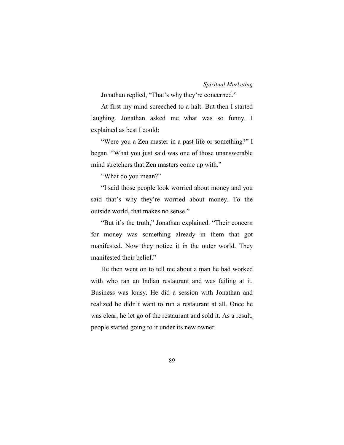Jonathan replied, "That's why they're concerned."

At first my mind screeched to a halt. But then I started laughing. Jonathan asked me what was so funny. I explained as best I could:

"Were you a Zen master in a past life or something?" I began. "What you just said was one of those unanswerable mind stretchers that Zen masters come up with."

"What do you mean?"

"I said those people look worried about money and you said that's why they're worried about money. To the outside world, that makes no sense."

"But it's the truth," Jonathan explained. "Their concern for money was something already in them that got manifested. Now they notice it in the outer world. They manifested their belief."

He then went on to tell me about a man he had worked with who ran an Indian restaurant and was failing at it. Business was lousy. He did a session with Jonathan and realized he didn't want to run a restaurant at all. Once he was clear, he let go of the restaurant and sold it. As a result, people started going to it under its new owner.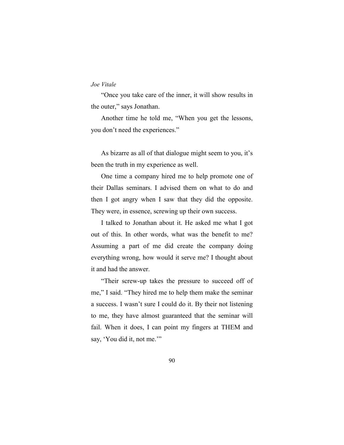"Once you take care of the inner, it will show results in the outer," says Jonathan.

Another time he told me, "When you get the lessons, you don't need the experiences."

As bizarre as all of that dialogue might seem to you, it's been the truth in my experience as well.

One time a company hired me to help promote one of their Dallas seminars. I advised them on what to do and then I got angry when I saw that they did the opposite. They were, in essence, screwing up their own success.

I talked to Jonathan about it. He asked me what I got out of this. In other words, what was the benefit to me? Assuming a part of me did create the company doing everything wrong, how would it serve me? I thought about it and had the answer.

"Their screw-up takes the pressure to succeed off of me," I said. "They hired me to help them make the seminar a success. I wasn't sure I could do it. By their not listening to me, they have almost guaranteed that the seminar will fail. When it does, I can point my fingers at THEM and say, 'You did it, not me.'"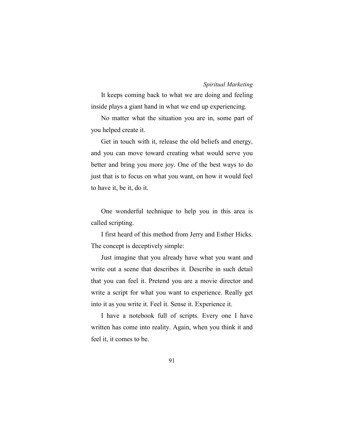It keeps coming back to what we are doing and feeling inside plays a giant hand in what we end up experiencing.

No matter what the situation you are in, some part of you helped create it.

Get in touch with it, release the old beliefs and energy, and you can move toward creating what would serve you better and bring you more joy. One of the best ways to do just that is to focus on what you want, on how it would feel to have it, be it, do it.

One wonderful technique to help you in this area is called scripting.

I first heard of this method from Jerry and Esther Hicks. The concept is deceptively simple:

Just imagine that you already have what you want and write out a scene that describes it. Describe in such detail that you can feel it. Pretend you are a movie director and write a script for what you want to experience. Really get into it as you write it. Feel it. Sense it. Experience it.

I have a notebook full of scripts. Every one I have written has come into reality. Again, when you think it and feel it, it comes to be.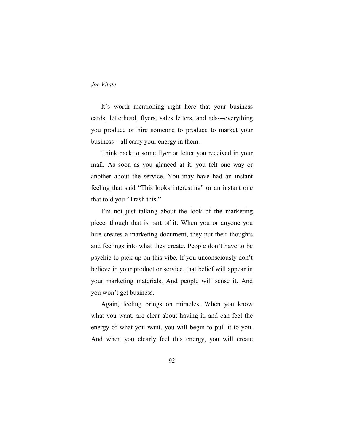It's worth mentioning right here that your business cards, letterhead, flyers, sales letters, and ads---everything you produce or hire someone to produce to market your business---all carry your energy in them.

Think back to some flyer or letter you received in your mail. As soon as you glanced at it, you felt one way or another about the service. You may have had an instant feeling that said "This looks interesting" or an instant one that told you "Trash this."

I'm not just talking about the look of the marketing piece, though that is part of it. When you or anyone you hire creates a marketing document, they put their thoughts and feelings into what they create. People don't have to be psychic to pick up on this vibe. If you unconsciously don't believe in your product or service, that belief will appear in your marketing materials. And people will sense it. And you won't get business.

Again, feeling brings on miracles. When you know what you want, are clear about having it, and can feel the energy of what you want, you will begin to pull it to you. And when you clearly feel this energy, you will create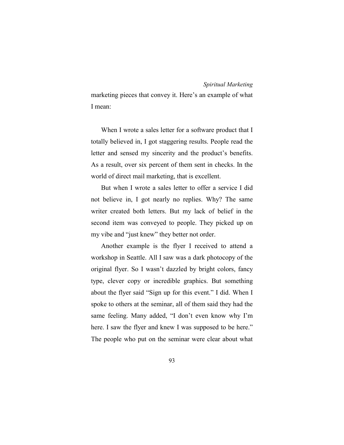marketing pieces that convey it. Here's an example of what I mean:

When I wrote a sales letter for a software product that I totally believed in, I got staggering results. People read the letter and sensed my sincerity and the product's benefits. As a result, over six percent of them sent in checks. In the world of direct mail marketing, that is excellent.

But when I wrote a sales letter to offer a service I did not believe in, I got nearly no replies. Why? The same writer created both letters. But my lack of belief in the second item was conveyed to people. They picked up on my vibe and "just knew" they better not order.

Another example is the flyer I received to attend a workshop in Seattle. All I saw was a dark photocopy of the original flyer. So I wasn't dazzled by bright colors, fancy type, clever copy or incredible graphics. But something about the flyer said "Sign up for this event." I did. When I spoke to others at the seminar, all of them said they had the same feeling. Many added, "I don't even know why I'm here. I saw the flyer and knew I was supposed to be here." The people who put on the seminar were clear about what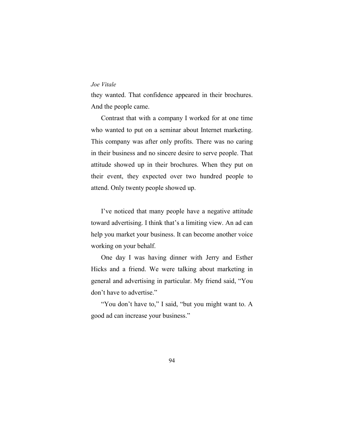they wanted. That confidence appeared in their brochures. And the people came.

Contrast that with a company I worked for at one time who wanted to put on a seminar about Internet marketing. This company was after only profits. There was no caring in their business and no sincere desire to serve people. That attitude showed up in their brochures. When they put on their event, they expected over two hundred people to attend. Only twenty people showed up.

I've noticed that many people have a negative attitude toward advertising. I think that's a limiting view. An ad can help you market your business. It can become another voice working on your behalf.

One day I was having dinner with Jerry and Esther Hicks and a friend. We were talking about marketing in general and advertising in particular. My friend said, "You don't have to advertise."

"You don't have to," I said, "but you might want to. A good ad can increase your business."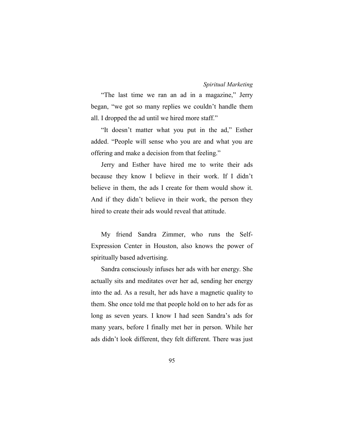"The last time we ran an ad in a magazine," Jerry began, "we got so many replies we couldn't handle them all. I dropped the ad until we hired more staff."

"It doesn't matter what you put in the ad," Esther added. "People will sense who you are and what you are offering and make a decision from that feeling."

Jerry and Esther have hired me to write their ads because they know I believe in their work. If I didn't believe in them, the ads I create for them would show it. And if they didn't believe in their work, the person they hired to create their ads would reveal that attitude.

My friend Sandra Zimmer, who runs the Self-Expression Center in Houston, also knows the power of spiritually based advertising.

Sandra consciously infuses her ads with her energy. She actually sits and meditates over her ad, sending her energy into the ad. As a result, her ads have a magnetic quality to them. She once told me that people hold on to her ads for as long as seven years. I know I had seen Sandra's ads for many years, before I finally met her in person. While her ads didn't look different, they felt different. There was just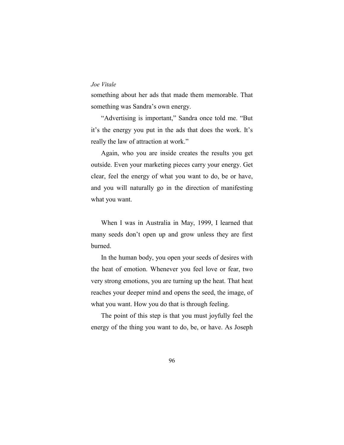something about her ads that made them memorable. That something was Sandra's own energy.

"Advertising is important," Sandra once told me. "But it's the energy you put in the ads that does the work. It's really the law of attraction at work."

Again, who you are inside creates the results you get outside. Even your marketing pieces carry your energy. Get clear, feel the energy of what you want to do, be or have, and you will naturally go in the direction of manifesting what you want.

When I was in Australia in May, 1999, I learned that many seeds don't open up and grow unless they are first burned.

In the human body, you open your seeds of desires with the heat of emotion. Whenever you feel love or fear, two very strong emotions, you are turning up the heat. That heat reaches your deeper mind and opens the seed, the image, of what you want. How you do that is through feeling.

The point of this step is that you must joyfully feel the energy of the thing you want to do, be, or have. As Joseph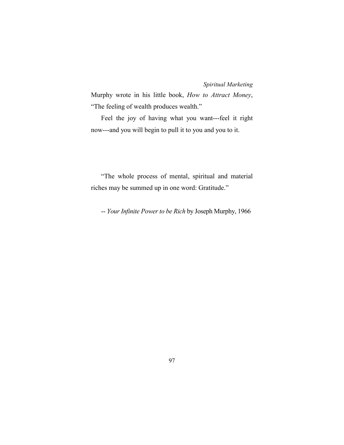Murphy wrote in his little book, *How to Attract Money*, "The feeling of wealth produces wealth."

Feel the joy of having what you want---feel it right now---and you will begin to pull it to you and you to it.

"The whole process of mental, spiritual and material riches may be summed up in one word: Gratitude."

-- *Your Infinite Power to be Rich* by Joseph Murphy, 1966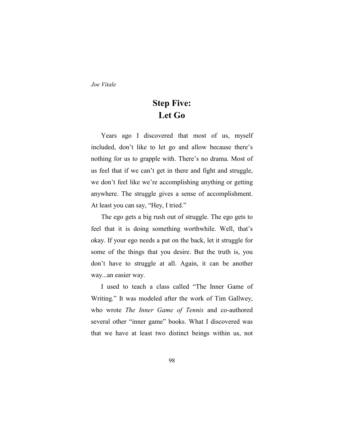# **Step Five: Let Go**

Years ago I discovered that most of us, myself included, don't like to let go and allow because there's nothing for us to grapple with. There's no drama. Most of us feel that if we can't get in there and fight and struggle, we don't feel like we're accomplishing anything or getting anywhere. The struggle gives a sense of accomplishment. At least you can say, "Hey, I tried."

The ego gets a big rush out of struggle. The ego gets to feel that it is doing something worthwhile. Well, that's okay. If your ego needs a pat on the back, let it struggle for some of the things that you desire. But the truth is, you don't have to struggle at all. Again, it can be another way...an easier way.

I used to teach a class called "The Inner Game of Writing." It was modeled after the work of Tim Gallwey, who wrote *The Inner Game of Tennis* and co-authored several other "inner game" books. What I discovered was that we have at least two distinct beings within us, not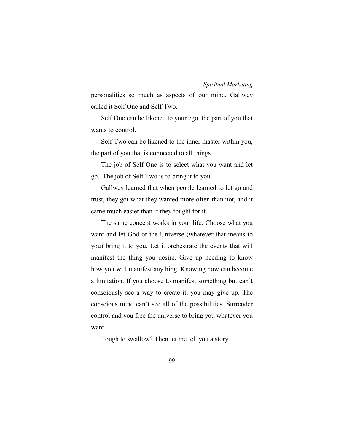personalities so much as aspects of our mind. Gallwey called it Self One and Self Two.

Self One can be likened to your ego, the part of you that wants to control.

Self Two can be likened to the inner master within you, the part of you that is connected to all things.

The job of Self One is to select what you want and let go. The job of Self Two is to bring it to you.

Gallwey learned that when people learned to let go and trust, they got what they wanted more often than not, and it came much easier than if they fought for it.

The same concept works in your life. Choose what you want and let God or the Universe (whatever that means to you) bring it to you. Let it orchestrate the events that will manifest the thing you desire. Give up needing to know how you will manifest anything. Knowing how can become a limitation. If you choose to manifest something but can't consciously see a way to create it, you may give up. The conscious mind can't see all of the possibilities. Surrender control and you free the universe to bring you whatever you want.

Tough to swallow? Then let me tell you a story...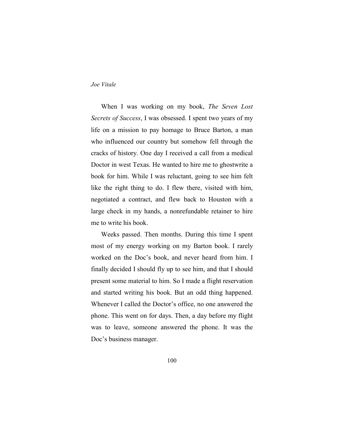When I was working on my book, *The Seven Lost Secrets of Success*, I was obsessed. I spent two years of my life on a mission to pay homage to Bruce Barton, a man who influenced our country but somehow fell through the cracks of history. One day I received a call from a medical Doctor in west Texas. He wanted to hire me to ghostwrite a book for him. While I was reluctant, going to see him felt like the right thing to do. I flew there, visited with him, negotiated a contract, and flew back to Houston with a large check in my hands, a nonrefundable retainer to hire me to write his book.

Weeks passed. Then months. During this time I spent most of my energy working on my Barton book. I rarely worked on the Doc's book, and never heard from him. I finally decided I should fly up to see him, and that I should present some material to him. So I made a flight reservation and started writing his book. But an odd thing happened. Whenever I called the Doctor's office, no one answered the phone. This went on for days. Then, a day before my flight was to leave, someone answered the phone. It was the Doc's business manager.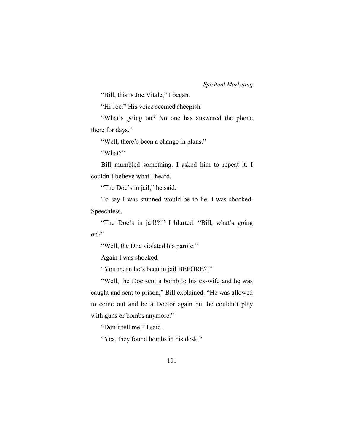"Bill, this is Joe Vitale," I began.

"Hi Joe." His voice seemed sheepish.

"What's going on? No one has answered the phone there for days."

"Well, there's been a change in plans."

"What?"

Bill mumbled something. I asked him to repeat it. I couldn't believe what I heard.

"The Doc's in jail," he said.

To say I was stunned would be to lie. I was shocked. Speechless.

"The Doc's in jail!?!" I blurted. "Bill, what's going on?"

"Well, the Doc violated his parole."

Again I was shocked.

"You mean he's been in jail BEFORE?!"

"Well, the Doc sent a bomb to his ex-wife and he was caught and sent to prison," Bill explained. "He was allowed to come out and be a Doctor again but he couldn't play with guns or bombs anymore."

"Don't tell me," I said.

"Yea, they found bombs in his desk."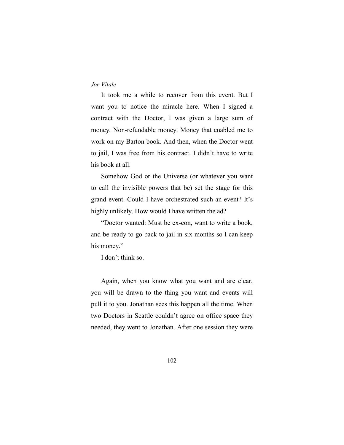It took me a while to recover from this event. But I want you to notice the miracle here. When I signed a contract with the Doctor, I was given a large sum of money. Non-refundable money. Money that enabled me to work on my Barton book. And then, when the Doctor went to jail, I was free from his contract. I didn't have to write his book at all.

Somehow God or the Universe (or whatever you want to call the invisible powers that be) set the stage for this grand event. Could I have orchestrated such an event? It's highly unlikely. How would I have written the ad?

"Doctor wanted: Must be ex-con, want to write a book, and be ready to go back to jail in six months so I can keep his money."

I don't think so.

Again, when you know what you want and are clear, you will be drawn to the thing you want and events will pull it to you. Jonathan sees this happen all the time. When two Doctors in Seattle couldn't agree on office space they needed, they went to Jonathan. After one session they were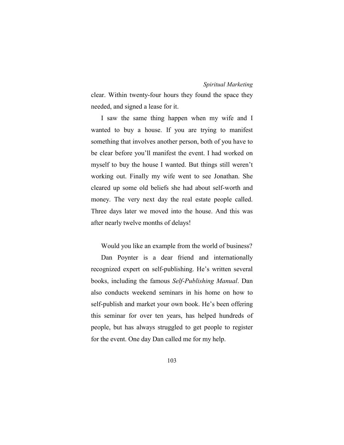clear. Within twenty-four hours they found the space they needed, and signed a lease for it.

I saw the same thing happen when my wife and I wanted to buy a house. If you are trying to manifest something that involves another person, both of you have to be clear before you'll manifest the event. I had worked on myself to buy the house I wanted. But things still weren't working out. Finally my wife went to see Jonathan. She cleared up some old beliefs she had about self-worth and money. The very next day the real estate people called. Three days later we moved into the house. And this was after nearly twelve months of delays!

Would you like an example from the world of business?

Dan Poynter is a dear friend and internationally recognized expert on self-publishing. He's written several books, including the famous *Self-Publishing Manual*. Dan also conducts weekend seminars in his home on how to self-publish and market your own book. He's been offering this seminar for over ten years, has helped hundreds of people, but has always struggled to get people to register for the event. One day Dan called me for my help.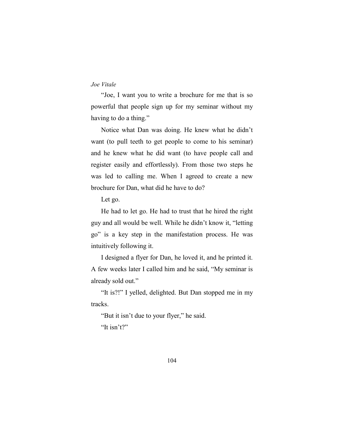"Joe, I want you to write a brochure for me that is so powerful that people sign up for my seminar without my having to do a thing."

Notice what Dan was doing. He knew what he didn't want (to pull teeth to get people to come to his seminar) and he knew what he did want (to have people call and register easily and effortlessly). From those two steps he was led to calling me. When I agreed to create a new brochure for Dan, what did he have to do?

Let go.

He had to let go. He had to trust that he hired the right guy and all would be well. While he didn't know it, "letting go" is a key step in the manifestation process. He was intuitively following it.

I designed a flyer for Dan, he loved it, and he printed it. A few weeks later I called him and he said, "My seminar is already sold out."

"It is?!" I yelled, delighted. But Dan stopped me in my tracks.

"But it isn't due to your flyer," he said. "It isn't?"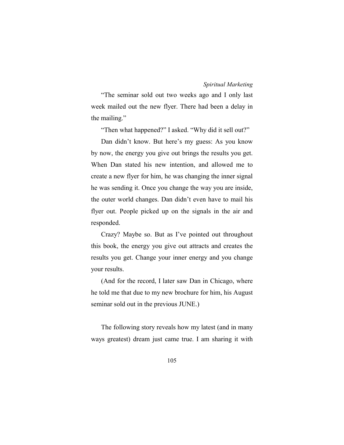"The seminar sold out two weeks ago and I only last week mailed out the new flyer. There had been a delay in the mailing."

"Then what happened?" I asked. "Why did it sell out?"

Dan didn't know. But here's my guess: As you know by now, the energy you give out brings the results you get. When Dan stated his new intention, and allowed me to create a new flyer for him, he was changing the inner signal he was sending it. Once you change the way you are inside, the outer world changes. Dan didn't even have to mail his flyer out. People picked up on the signals in the air and responded.

Crazy? Maybe so. But as I've pointed out throughout this book, the energy you give out attracts and creates the results you get. Change your inner energy and you change your results.

(And for the record, I later saw Dan in Chicago, where he told me that due to my new brochure for him, his August seminar sold out in the previous JUNE.)

The following story reveals how my latest (and in many ways greatest) dream just came true. I am sharing it with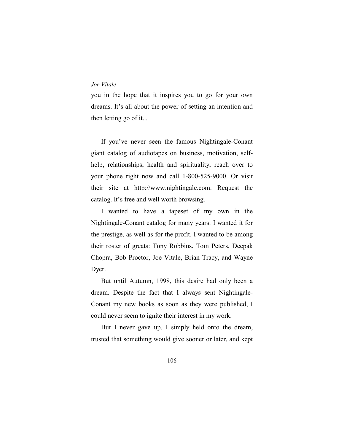you in the hope that it inspires you to go for your own dreams. It's all about the power of setting an intention and then letting go of it...

If you've never seen the famous Nightingale-Conant giant catalog of audiotapes on business, motivation, selfhelp, relationships, health and spirituality, reach over to your phone right now and call 1-800-525-9000. Or visit their site at http://www.nightingale.com. Request the catalog. It's free and well worth browsing.

I wanted to have a tapeset of my own in the Nightingale-Conant catalog for many years. I wanted it for the prestige, as well as for the profit. I wanted to be among their roster of greats: Tony Robbins, Tom Peters, Deepak Chopra, Bob Proctor, Joe Vitale, Brian Tracy, and Wayne Dyer.

But until Autumn, 1998, this desire had only been a dream. Despite the fact that I always sent Nightingale-Conant my new books as soon as they were published, I could never seem to ignite their interest in my work.

But I never gave up. I simply held onto the dream, trusted that something would give sooner or later, and kept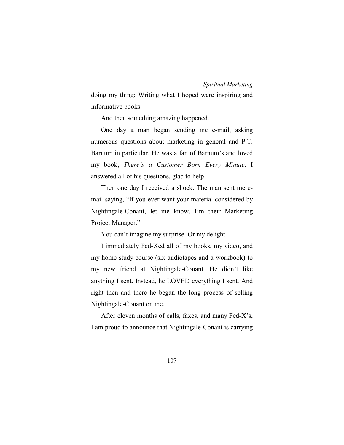doing my thing: Writing what I hoped were inspiring and informative books.

And then something amazing happened.

One day a man began sending me e-mail, asking numerous questions about marketing in general and P.T. Barnum in particular. He was a fan of Barnum's and loved my book, *There's a Customer Born Every Minute*. I answered all of his questions, glad to help.

Then one day I received a shock. The man sent me email saying, "If you ever want your material considered by Nightingale-Conant, let me know. I'm their Marketing Project Manager."

You can't imagine my surprise. Or my delight.

I immediately Fed-Xed all of my books, my video, and my home study course (six audiotapes and a workbook) to my new friend at Nightingale-Conant. He didn't like anything I sent. Instead, he LOVED everything I sent. And right then and there he began the long process of selling Nightingale-Conant on me.

After eleven months of calls, faxes, and many Fed-X's, I am proud to announce that Nightingale-Conant is carrying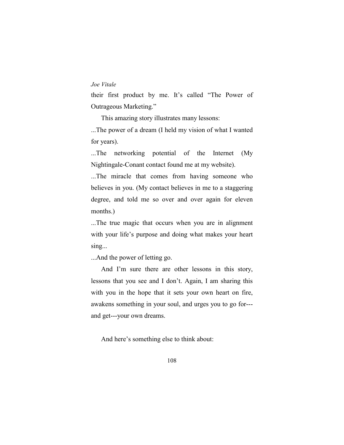their first product by me. It's called "The Power of Outrageous Marketing."

This amazing story illustrates many lessons:

...The power of a dream (I held my vision of what I wanted for years).

...The networking potential of the Internet (My Nightingale-Conant contact found me at my website).

...The miracle that comes from having someone who believes in you. (My contact believes in me to a staggering degree, and told me so over and over again for eleven months.)

...The true magic that occurs when you are in alignment with your life's purpose and doing what makes your heart sing...

...And the power of letting go.

And I'm sure there are other lessons in this story, lessons that you see and I don't. Again, I am sharing this with you in the hope that it sets your own heart on fire, awakens something in your soul, and urges you to go for-- and get---your own dreams.

And here's something else to think about: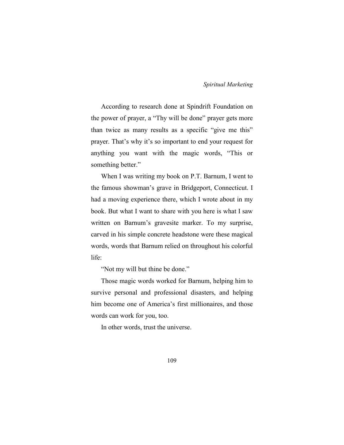According to research done at Spindrift Foundation on the power of prayer, a "Thy will be done" prayer gets more than twice as many results as a specific "give me this" prayer. That's why it's so important to end your request for anything you want with the magic words, "This or something better."

When I was writing my book on P.T. Barnum, I went to the famous showman's grave in Bridgeport, Connecticut. I had a moving experience there, which I wrote about in my book. But what I want to share with you here is what I saw written on Barnum's gravesite marker. To my surprise, carved in his simple concrete headstone were these magical words, words that Barnum relied on throughout his colorful life:

"Not my will but thine be done."

Those magic words worked for Barnum, helping him to survive personal and professional disasters, and helping him become one of America's first millionaires, and those words can work for you, too.

In other words, trust the universe.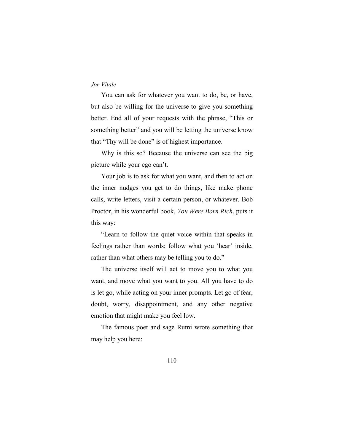You can ask for whatever you want to do, be, or have, but also be willing for the universe to give you something better. End all of your requests with the phrase, "This or something better" and you will be letting the universe know that "Thy will be done" is of highest importance.

Why is this so? Because the universe can see the big picture while your ego can't.

Your job is to ask for what you want, and then to act on the inner nudges you get to do things, like make phone calls, write letters, visit a certain person, or whatever. Bob Proctor, in his wonderful book, *You Were Born Rich*, puts it this way:

"Learn to follow the quiet voice within that speaks in feelings rather than words; follow what you 'hear' inside, rather than what others may be telling you to do."

The universe itself will act to move you to what you want, and move what you want to you. All you have to do is let go, while acting on your inner prompts. Let go of fear, doubt, worry, disappointment, and any other negative emotion that might make you feel low.

The famous poet and sage Rumi wrote something that may help you here: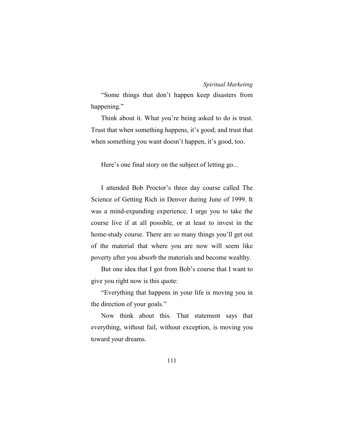"Some things that don't happen keep disasters from happening."

Think about it. What you're being asked to do is trust. Trust that when something happens, it's good; and trust that when something you want doesn't happen, it's good, too.

Here's one final story on the subject of letting go...

I attended Bob Proctor's three day course called The Science of Getting Rich in Denver during June of 1999. It was a mind-expanding experience. I urge you to take the course live if at all possible, or at least to invest in the home-study course. There are so many things you'll get out of the material that where you are now will seem like poverty after you absorb the materials and become wealthy.

But one idea that I got from Bob's course that I want to give you right now is this quote:

"Everything that happens in your life is moving you in the direction of your goals."

Now think about this. That statement says that everything, without fail, without exception, is moving you toward your dreams.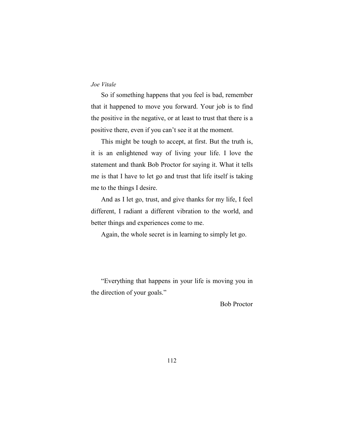So if something happens that you feel is bad, remember that it happened to move you forward. Your job is to find the positive in the negative, or at least to trust that there is a positive there, even if you can't see it at the moment.

This might be tough to accept, at first. But the truth is, it is an enlightened way of living your life. I love the statement and thank Bob Proctor for saying it. What it tells me is that I have to let go and trust that life itself is taking me to the things I desire.

And as I let go, trust, and give thanks for my life, I feel different, I radiant a different vibration to the world, and better things and experiences come to me.

Again, the whole secret is in learning to simply let go.

"Everything that happens in your life is moving you in the direction of your goals."

Bob Proctor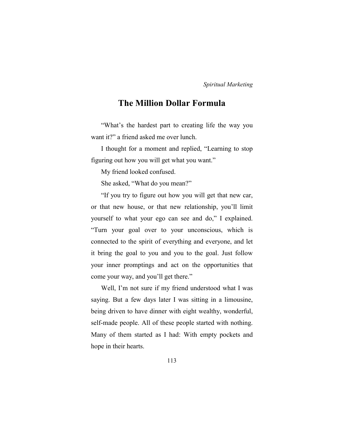# **The Million Dollar Formula**

"What's the hardest part to creating life the way you want it?" a friend asked me over lunch.

I thought for a moment and replied, "Learning to stop figuring out how you will get what you want."

My friend looked confused.

She asked, "What do you mean?"

"If you try to figure out how you will get that new car, or that new house, or that new relationship, you'll limit yourself to what your ego can see and do," I explained. "Turn your goal over to your unconscious, which is connected to the spirit of everything and everyone, and let it bring the goal to you and you to the goal. Just follow your inner promptings and act on the opportunities that come your way, and you'll get there."

Well, I'm not sure if my friend understood what I was saying. But a few days later I was sitting in a limousine, being driven to have dinner with eight wealthy, wonderful, self-made people. All of these people started with nothing. Many of them started as I had: With empty pockets and hope in their hearts.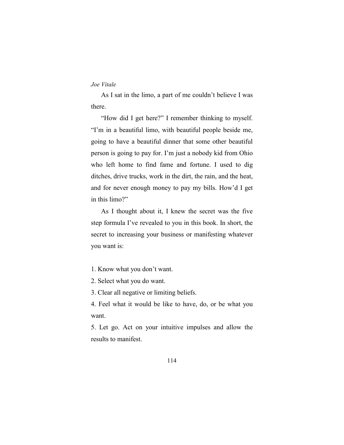As I sat in the limo, a part of me couldn't believe I was there.

"How did I get here?" I remember thinking to myself. "I'm in a beautiful limo, with beautiful people beside me, going to have a beautiful dinner that some other beautiful person is going to pay for. I'm just a nobody kid from Ohio who left home to find fame and fortune. I used to dig ditches, drive trucks, work in the dirt, the rain, and the heat, and for never enough money to pay my bills. How'd I get in this limo?"

As I thought about it, I knew the secret was the five step formula I've revealed to you in this book. In short, the secret to increasing your business or manifesting whatever you want is:

- 1. Know what you don't want.
- 2. Select what you do want.
- 3. Clear all negative or limiting beliefs.

4. Feel what it would be like to have, do, or be what you want.

5. Let go. Act on your intuitive impulses and allow the results to manifest.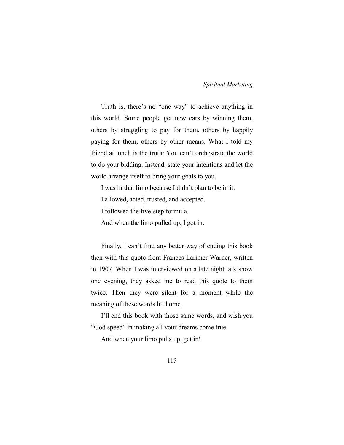Truth is, there's no "one way" to achieve anything in this world. Some people get new cars by winning them, others by struggling to pay for them, others by happily paying for them, others by other means. What I told my friend at lunch is the truth: You can't orchestrate the world to do your bidding. Instead, state your intentions and let the world arrange itself to bring your goals to you.

I was in that limo because I didn't plan to be in it.

I allowed, acted, trusted, and accepted.

I followed the five-step formula.

And when the limo pulled up, I got in.

Finally, I can't find any better way of ending this book then with this quote from Frances Larimer Warner, written in 1907. When I was interviewed on a late night talk show one evening, they asked me to read this quote to them twice. Then they were silent for a moment while the meaning of these words hit home.

I'll end this book with those same words, and wish you "God speed" in making all your dreams come true.

And when your limo pulls up, get in!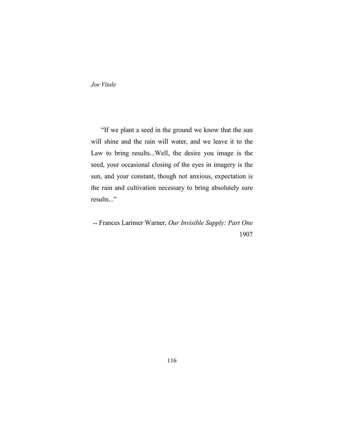"If we plant a seed in the ground we know that the sun will shine and the rain will water, and we leave it to the Law to bring results...Well, the desire you image is the seed, your occasional closing of the eyes in imagery is the sun, and your constant, though not anxious, expectation is the rain and cultivation necessary to bring absolutely sure results..."

-- Frances Larimer Warner, *Our Invisible Supply: Part One* 1907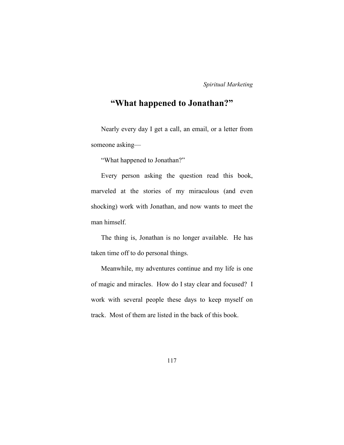# **"What happened to Jonathan?"**

Nearly every day I get a call, an email, or a letter from someone asking—

"What happened to Jonathan?"

Every person asking the question read this book, marveled at the stories of my miraculous (and even shocking) work with Jonathan, and now wants to meet the man himself.

The thing is, Jonathan is no longer available. He has taken time off to do personal things.

Meanwhile, my adventures continue and my life is one of magic and miracles. How do I stay clear and focused? I work with several people these days to keep myself on track. Most of them are listed in the back of this book.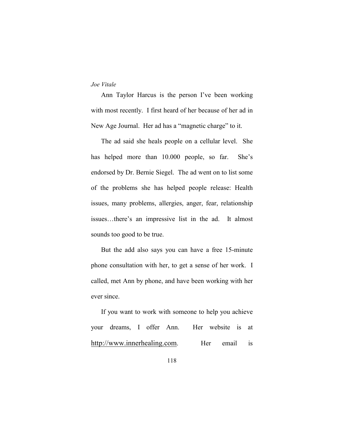Ann Taylor Harcus is the person I've been working with most recently. I first heard of her because of her ad in New Age Journal. Her ad has a "magnetic charge" to it.

The ad said she heals people on a cellular level. She has helped more than 10.000 people, so far. She's endorsed by Dr. Bernie Siegel. The ad went on to list some of the problems she has helped people release: Health issues, many problems, allergies, anger, fear, relationship issues…there's an impressive list in the ad. It almost sounds too good to be true.

But the add also says you can have a free 15-minute phone consultation with her, to get a sense of her work. I called, met Ann by phone, and have been working with her ever since.

If you want to work with someone to help you achieve your dreams, I offer Ann. Her website is at http://www.innerhealing.com. Her email is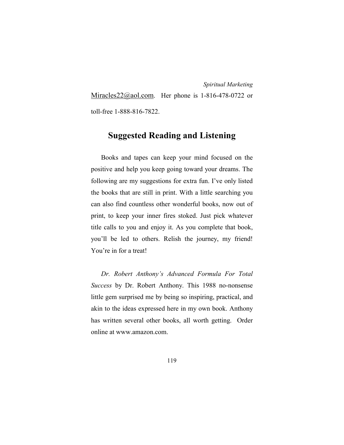Miracles  $22$  ( $\omega$ ) ao l.com. Her phone is 1-816-478-0722 or toll-free 1-888-816-7822.

# **Suggested Reading and Listening**

Books and tapes can keep your mind focused on the positive and help you keep going toward your dreams. The following are my suggestions for extra fun. I've only listed the books that are still in print. With a little searching you can also find countless other wonderful books, now out of print, to keep your inner fires stoked. Just pick whatever title calls to you and enjoy it. As you complete that book, you'll be led to others. Relish the journey, my friend! You're in for a treat!

*Dr. Robert Anthony's Advanced Formula For Total Success* by Dr. Robert Anthony. This 1988 no-nonsense little gem surprised me by being so inspiring, practical, and akin to the ideas expressed here in my own book. Anthony has written several other books, all worth getting. Order online at www.amazon.com.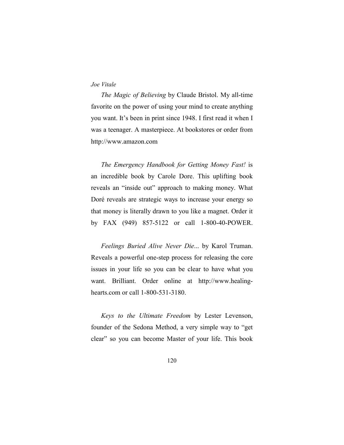*The Magic of Believing* by Claude Bristol. My all-time favorite on the power of using your mind to create anything you want. It's been in print since 1948. I first read it when I was a teenager. A masterpiece. At bookstores or order from http://www.amazon.com

*The Emergency Handbook for Getting Money Fast!* is an incredible book by Carole Dore. This uplifting book reveals an "inside out" approach to making money. What Doré reveals are strategic ways to increase your energy so that money is literally drawn to you like a magnet. Order it by FAX (949) 857-5122 or call 1-800-40-POWER.

*Feelings Buried Alive Never Die*... by Karol Truman. Reveals a powerful one-step process for releasing the core issues in your life so you can be clear to have what you want. Brilliant. Order online at http://www.healinghearts.com or call 1-800-531-3180.

*Keys to the Ultimate Freedom* by Lester Levenson, founder of the Sedona Method, a very simple way to "get clear" so you can become Master of your life. This book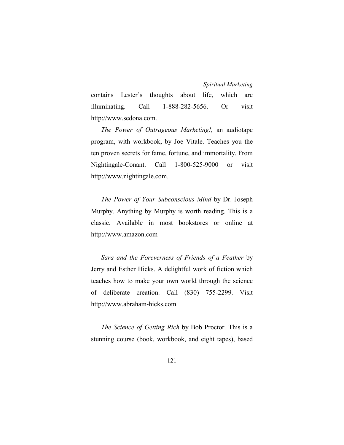contains Lester's thoughts about life, which are illuminating. Call 1-888-282-5656. Or visit http://www.sedona.com.

*The Power of Outrageous Marketing!,* an audiotape program, with workbook, by Joe Vitale. Teaches you the ten proven secrets for fame, fortune, and immortality. From Nightingale-Conant. Call 1-800-525-9000 or visit http://www.nightingale.com.

*The Power of Your Subconscious Mind* by Dr. Joseph Murphy. Anything by Murphy is worth reading. This is a classic. Available in most bookstores or online at http://www.amazon.com

*Sara and the Foreverness of Friends of a Feather* by Jerry and Esther Hicks. A delightful work of fiction which teaches how to make your own world through the science of deliberate creation. Call (830) 755-2299. Visit http://www.abraham-hicks.com

*The Science of Getting Rich* by Bob Proctor. This is a stunning course (book, workbook, and eight tapes), based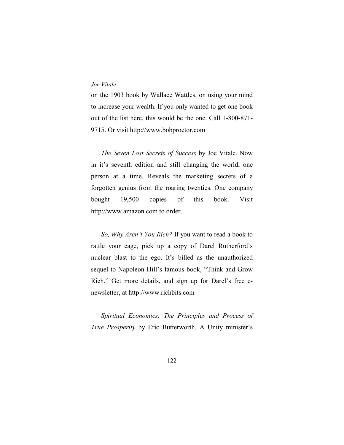on the 1903 book by Wallace Wattles, on using your mind to increase your wealth. If you only wanted to get one book out of the list here, this would be the one. Call 1-800-871- 9715. Or visit http://www.bobproctor.com

*The Seven Lost Secrets of Success* by Joe Vitale. Now in it's seventh edition and still changing the world, one person at a time. Reveals the marketing secrets of a forgotten genius from the roaring twenties. One company bought 19,500 copies of this book. Visit http://www.amazon.com to order.

*So, Why Aren't You Rich?* If you want to read a book to rattle your cage, pick up a copy of Darel Rutherford's nuclear blast to the ego. It's billed as the unauthorized sequel to Napoleon Hill's famous book, "Think and Grow Rich." Get more details, and sign up for Darel's free enewsletter, at http://www.richbits.com

*Spiritual Economics: The Principles and Process of True Prosperity* by Eric Butterworth. A Unity minister's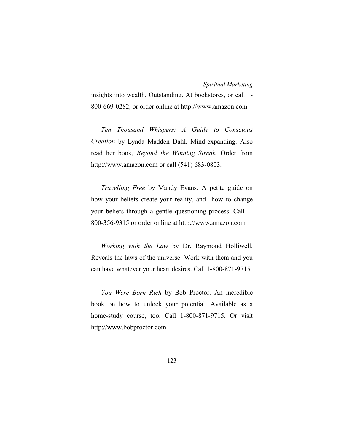insights into wealth. Outstanding. At bookstores, or call 1- 800-669-0282, or order online at http://www.amazon.com

*Ten Thousand Whispers: A Guide to Conscious Creation* by Lynda Madden Dahl. Mind-expanding. Also read her book, *Beyond the Winning Streak*. Order from http://www.amazon.com or call (541) 683-0803.

*Travelling Free* by Mandy Evans. A petite guide on how your beliefs create your reality, and how to change your beliefs through a gentle questioning process. Call 1- 800-356-9315 or order online at http://www.amazon.com

*Working with the Law* by Dr. Raymond Holliwell. Reveals the laws of the universe. Work with them and you can have whatever your heart desires. Call 1-800-871-9715.

*You Were Born Rich* by Bob Proctor. An incredible book on how to unlock your potential. Available as a home-study course, too. Call 1-800-871-9715. Or visit http://www.bobproctor.com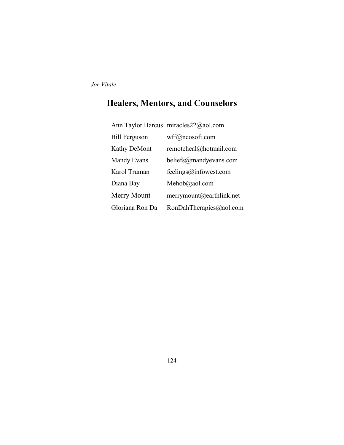# **Healers, Mentors, and Counselors**

|                      | Ann Taylor Harcus miracles22@aol.com |
|----------------------|--------------------------------------|
| <b>Bill Ferguson</b> | wff@neosoft.com                      |
| <b>Kathy DeMont</b>  | remoteheal@hotmail.com               |
| Mandy Evans          | beliefs@mandyevans.com               |
| Karol Truman         | feelings@infowest.com                |
| Diana Bay            | Mehob@aol.com                        |
| Merry Mount          | merrymount@earthlink.net             |
| Gloriana Ron Da      | RonDahTherapies@aol.com              |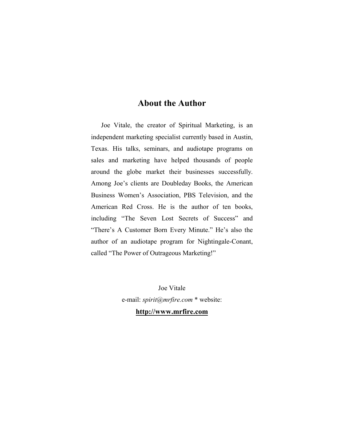# **About the Author**

Joe Vitale, the creator of Spiritual Marketing, is an independent marketing specialist currently based in Austin, Texas. His talks, seminars, and audiotape programs on sales and marketing have helped thousands of people around the globe market their businesses successfully. Among Joe's clients are Doubleday Books, the American Business Women's Association, PBS Television, and the American Red Cross. He is the author of ten books, including "The Seven Lost Secrets of Success" and "There's A Customer Born Every Minute." He's also the author of an audiotape program for Nightingale-Conant, called "The Power of Outrageous Marketing!"

> Joe Vitale e-mail: *spirit@mrfire.com* \* website:

> > **http://www.mrfire.com**